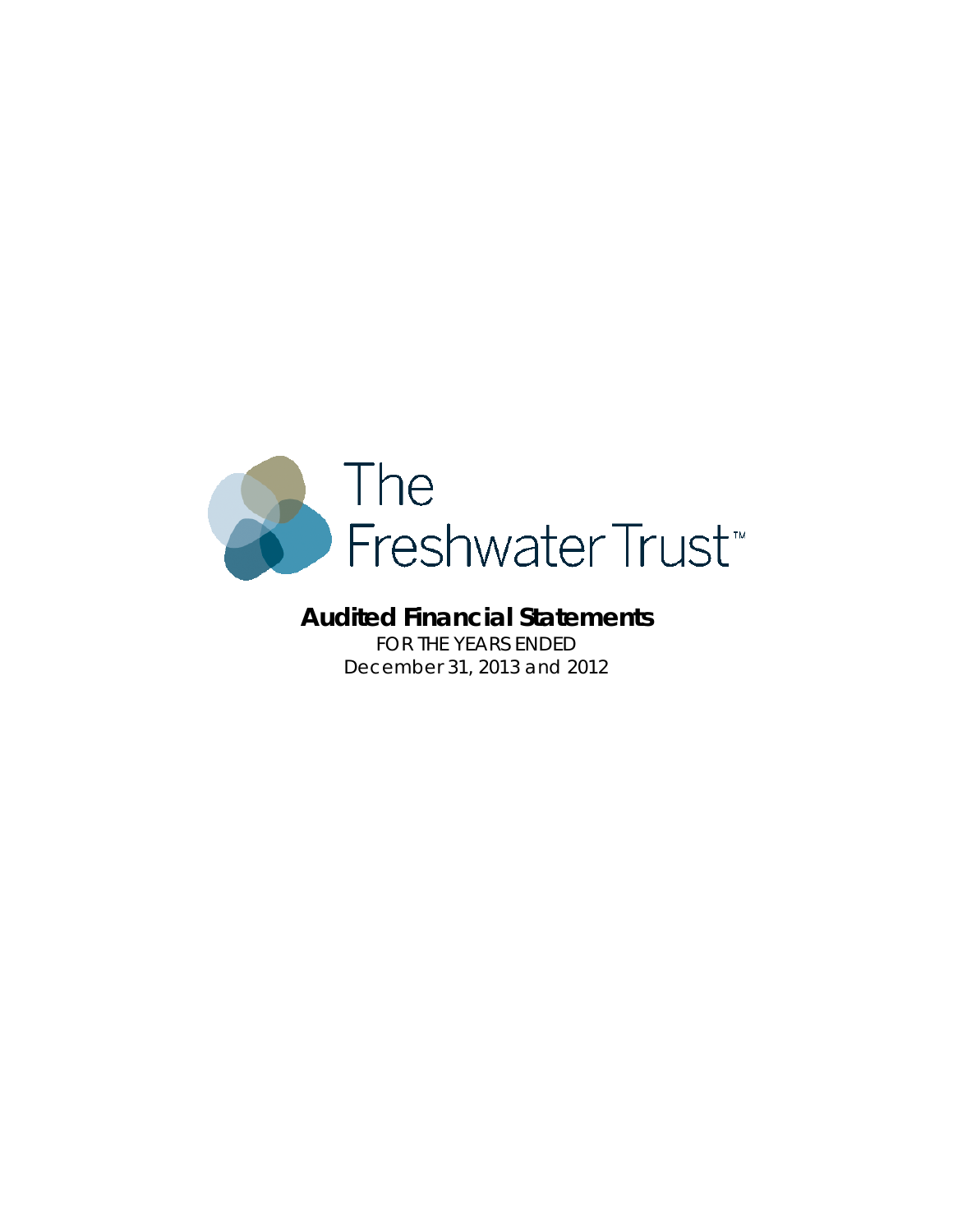

# **Audited Financial Statements**

FOR THE YEARS ENDED December 31, 2013 and 2012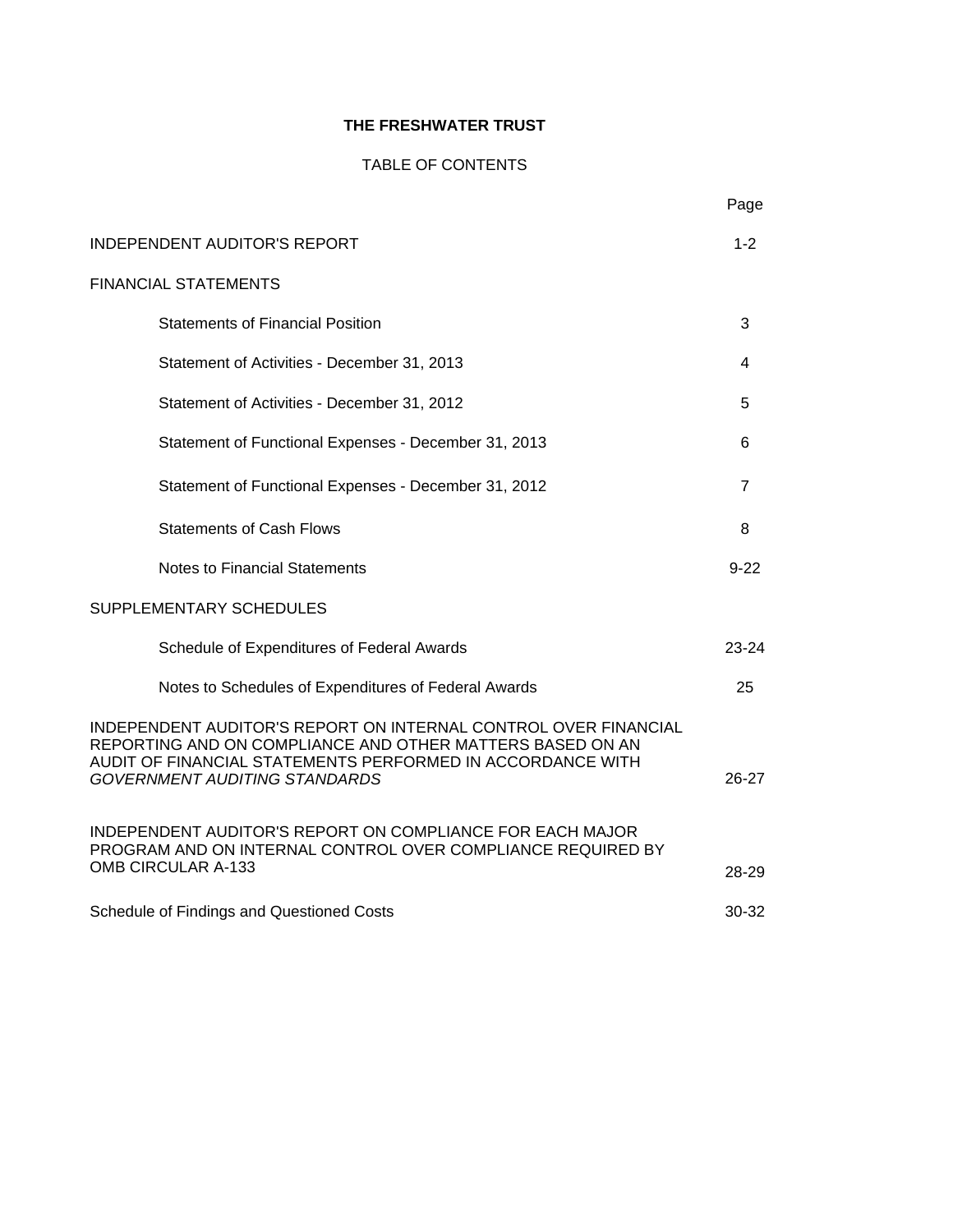#### **THE FRESHWATER TRUST**

### TABLE OF CONTENTS

Page

| <b>INDEPENDENT AUDITOR'S REPORT</b>                                                                                                                                                                                                | $1 - 2$        |
|------------------------------------------------------------------------------------------------------------------------------------------------------------------------------------------------------------------------------------|----------------|
| <b>FINANCIAL STATEMENTS</b>                                                                                                                                                                                                        |                |
| <b>Statements of Financial Position</b>                                                                                                                                                                                            | 3              |
| Statement of Activities - December 31, 2013                                                                                                                                                                                        | 4              |
| Statement of Activities - December 31, 2012                                                                                                                                                                                        | 5              |
| Statement of Functional Expenses - December 31, 2013                                                                                                                                                                               | 6              |
| Statement of Functional Expenses - December 31, 2012                                                                                                                                                                               | $\overline{7}$ |
| <b>Statements of Cash Flows</b>                                                                                                                                                                                                    | 8              |
| Notes to Financial Statements                                                                                                                                                                                                      | $9 - 22$       |
| SUPPLEMENTARY SCHEDULES                                                                                                                                                                                                            |                |
| Schedule of Expenditures of Federal Awards                                                                                                                                                                                         | 23-24          |
| Notes to Schedules of Expenditures of Federal Awards                                                                                                                                                                               | 25             |
| INDEPENDENT AUDITOR'S REPORT ON INTERNAL CONTROL OVER FINANCIAL<br>REPORTING AND ON COMPLIANCE AND OTHER MATTERS BASED ON AN<br>AUDIT OF FINANCIAL STATEMENTS PERFORMED IN ACCORDANCE WITH<br><b>GOVERNMENT AUDITING STANDARDS</b> | $26-27$        |
| INDEPENDENT AUDITOR'S REPORT ON COMPLIANCE FOR EACH MAJOR<br>PROGRAM AND ON INTERNAL CONTROL OVER COMPLIANCE REQUIRED BY<br><b>OMB CIRCULAR A-133</b>                                                                              | 28-29          |
| Schedule of Findings and Questioned Costs                                                                                                                                                                                          | $30 - 32$      |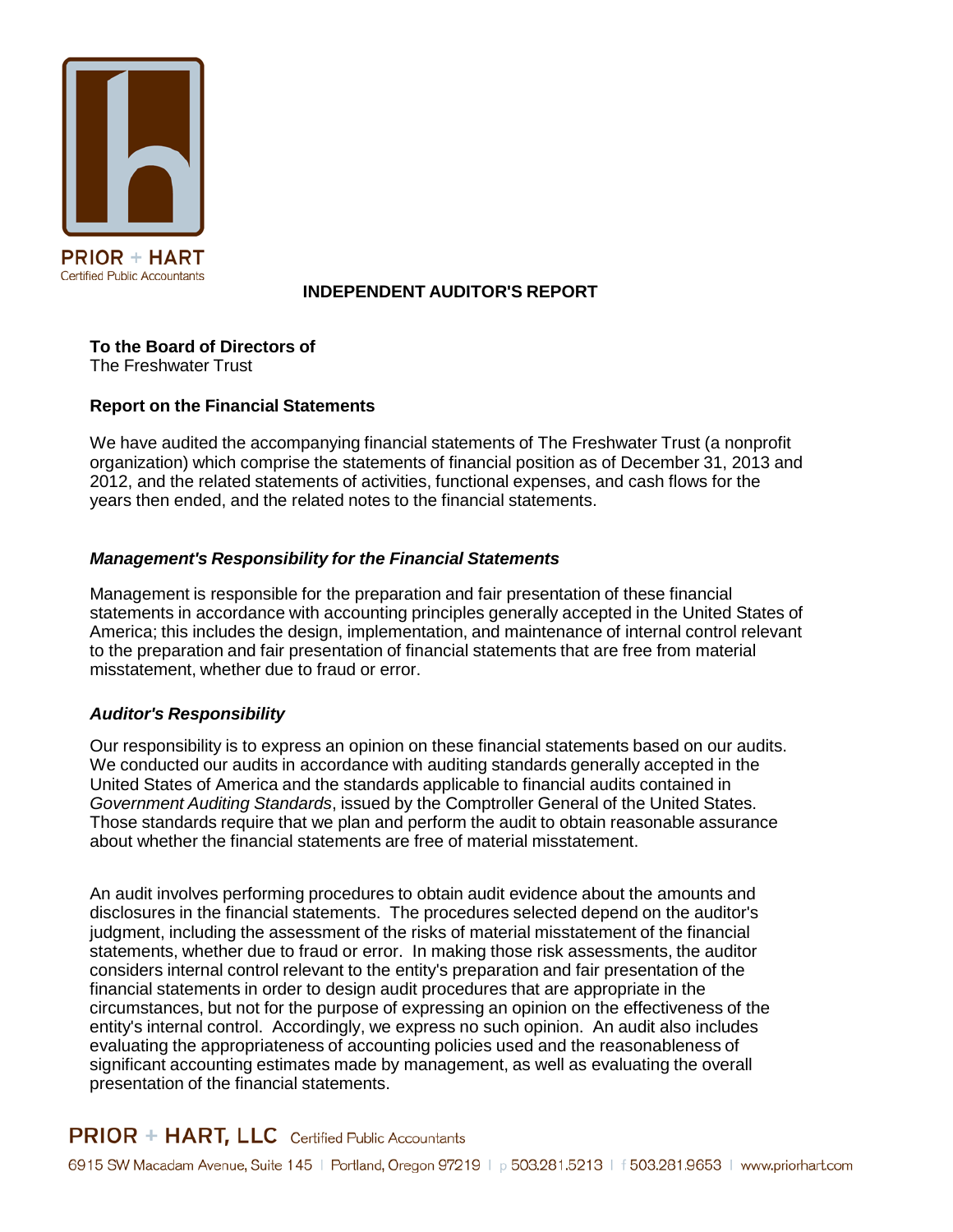

### **INDEPENDENT AUDITOR'S REPORT**

### **To the Board of Directors of**

The Freshwater Trust

### **Report on the Financial Statements**

We have audited the accompanying financial statements of The Freshwater Trust (a nonprofit organization) which comprise the statements of financial position as of December 31, 2013 and 2012, and the related statements of activities, functional expenses, and cash flows for the years then ended, and the related notes to the financial statements.

### *Management's Responsibility for the Financial Statements*

Management is responsible for the preparation and fair presentation of these financial statements in accordance with accounting principles generally accepted in the United States of America; this includes the design, implementation, and maintenance of internal control relevant to the preparation and fair presentation of financial statements that are free from material misstatement, whether due to fraud or error.

#### *Auditor's Responsibility*

Our responsibility is to express an opinion on these financial statements based on our audits. We conducted our audits in accordance with auditing standards generally accepted in the United States of America and the standards applicable to financial audits contained in *Government Auditing Standards*, issued by the Comptroller General of the United States. Those standards require that we plan and perform the audit to obtain reasonable assurance about whether the financial statements are free of material misstatement.

An audit involves performing procedures to obtain audit evidence about the amounts and disclosures in the financial statements. The procedures selected depend on the auditor's judgment, including the assessment of the risks of material misstatement of the financial statements, whether due to fraud or error. In making those risk assessments, the auditor considers internal control relevant to the entity's preparation and fair presentation of the financial statements in order to design audit procedures that are appropriate in the circumstances, but not for the purpose of expressing an opinion on the effectiveness of the entity's internal control. Accordingly, we express no such opinion. An audit also includes evaluating the appropriateness of accounting policies used and the reasonableness of significant accounting estimates made by management, as well as evaluating the overall presentation of the financial statements.

## **PRIOR + HART, LLC** Certified Public Accountants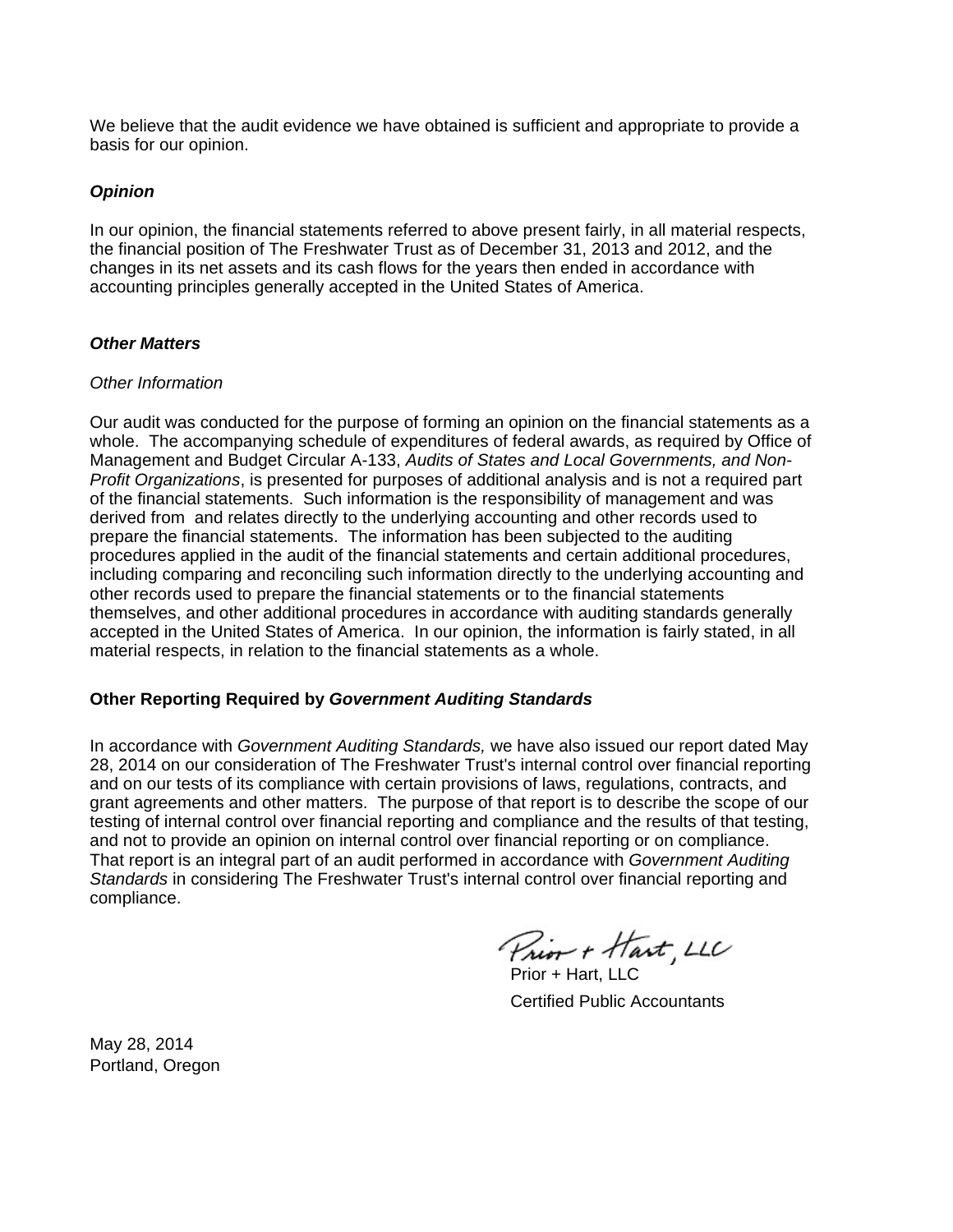We believe that the audit evidence we have obtained is sufficient and appropriate to provide a basis for our opinion.

#### *Opinion*

In our opinion, the financial statements referred to above present fairly, in all material respects, the financial position of The Freshwater Trust as of December 31, 2013 and 2012, and the changes in its net assets and its cash flows for the years then ended in accordance with accounting principles generally accepted in the United States of America.

#### *Other Matters*

#### *Other Information*

Our audit was conducted for the purpose of forming an opinion on the financial statements as a whole. The accompanying schedule of expenditures of federal awards, as required by Office of Management and Budget Circular A-133, *Audits of States and Local Governments, and Non-Profit Organizations*, is presented for purposes of additional analysis and is not a required part of the financial statements. Such information is the responsibility of management and was derived from and relates directly to the underlying accounting and other records used to prepare the financial statements. The information has been subjected to the auditing procedures applied in the audit of the financial statements and certain additional procedures, including comparing and reconciling such information directly to the underlying accounting and other records used to prepare the financial statements or to the financial statements themselves, and other additional procedures in accordance with auditing standards generally accepted in the United States of America. In our opinion, the information is fairly stated, in all material respects, in relation to the financial statements as a whole.

#### **Other Reporting Required by** *Government Auditing Standards*

In accordance with *Government Auditing Standards,* we have also issued our report dated May 28, 2014 on our consideration of The Freshwater Trust's internal control over financial reporting and on our tests of its compliance with certain provisions of laws, regulations, contracts, and grant agreements and other matters. The purpose of that report is to describe the scope of our testing of internal control over financial reporting and compliance and the results of that testing, and not to provide an opinion on internal control over financial reporting or on compliance. That report is an integral part of an audit performed in accordance with *Government Auditing Standards* in considering The Freshwater Trust's internal control over financial reporting and compliance.

Prior + Hart, LLC

 Prior + Hart, LLC Certified Public Accountants

May 28, 2014 Portland, Oregon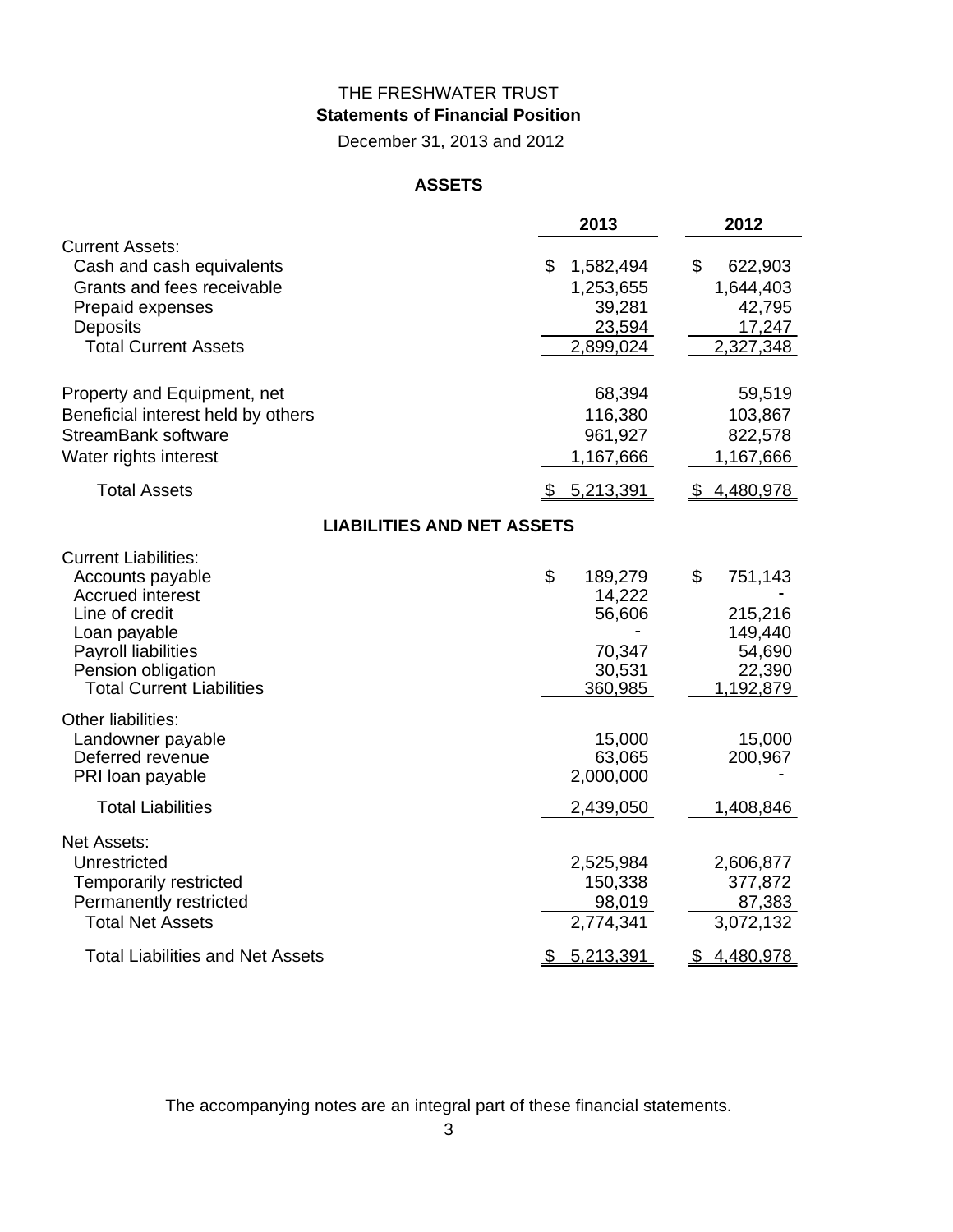# THE FRESHWATER TRUST **Statements of Financial Position**

December 31, 2013 and 2012

### **ASSETS**

|                                                                                                                                                                                                      | 2013                                                                              | 2012                                                                       |
|------------------------------------------------------------------------------------------------------------------------------------------------------------------------------------------------------|-----------------------------------------------------------------------------------|----------------------------------------------------------------------------|
| <b>Current Assets:</b><br>Cash and cash equivalents<br>Grants and fees receivable<br>Prepaid expenses<br>Deposits<br><b>Total Current Assets</b>                                                     | \$<br>1,582,494<br>1,253,655<br>39,281<br>23,594<br>2,899,024                     | \$<br>622,903<br>1,644,403<br>42,795<br>17,247<br>2,327,348                |
| Property and Equipment, net<br>Beneficial interest held by others<br><b>StreamBank software</b><br>Water rights interest                                                                             | 68,394<br>116,380<br>961,927<br>1,167,666                                         | 59,519<br>103,867<br>822,578<br>1,167,666                                  |
| <b>Total Assets</b>                                                                                                                                                                                  | <u>5,213,391</u><br><u>\$</u>                                                     | \$4,480,978                                                                |
| <b>LIABILITIES AND NET ASSETS</b>                                                                                                                                                                    |                                                                                   |                                                                            |
| <b>Current Liabilities:</b><br>Accounts payable<br><b>Accrued interest</b><br>Line of credit<br>Loan payable<br><b>Payroll liabilities</b><br>Pension obligation<br><b>Total Current Liabilities</b> | \$<br>189,279<br>14,222<br>56,606<br>70,347<br>30,531<br>360,985                  | \$<br>751,143<br>215,216<br>149,440<br>54,690<br>22,390<br>1,192,879       |
| Other liabilities:<br>Landowner payable<br>Deferred revenue<br>PRI loan payable<br><b>Total Liabilities</b>                                                                                          | 15,000<br>63,065<br>2,000,000<br>2,439,050                                        | 15,000<br>200,967<br>1,408,846                                             |
| Net Assets:<br>Unrestricted<br><b>Temporarily restricted</b><br>Permanently restricted<br><b>Total Net Assets</b><br><b>Total Liabilities and Net Assets</b>                                         | 2,525,984<br>150,338<br>98,019<br>2,774,341<br><u>5,213,391</u><br>$\mathfrak{L}$ | 2,606,877<br>377,872<br>87,383<br>3,072,132<br>4,480,978<br>$\mathfrak{S}$ |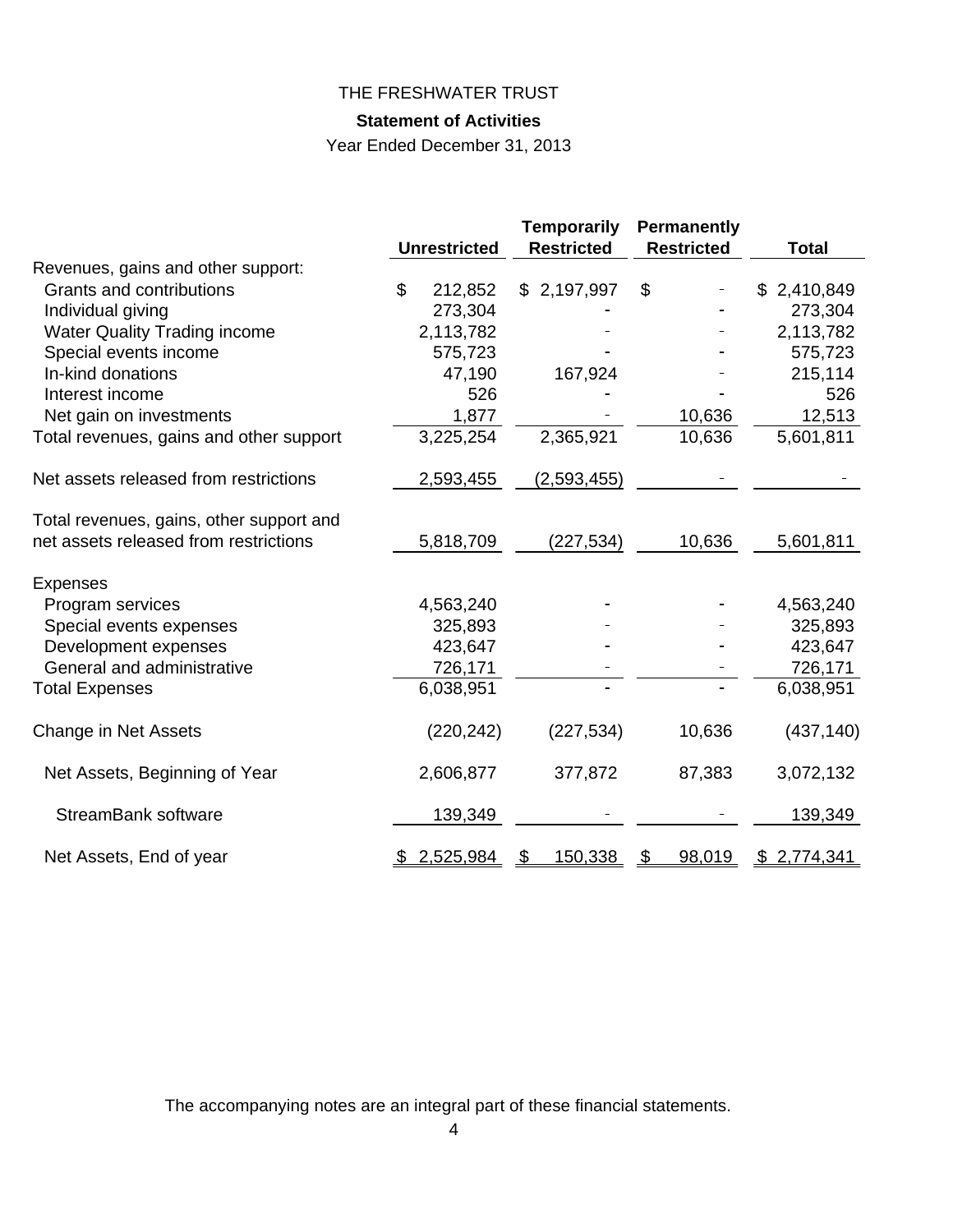#### THE FRESHWATER TRUST

#### **Statement of Activities**

Year Ended December 31, 2013

|                                          | <b>Unrestricted</b> | <b>Temporarily</b><br><b>Restricted</b> |                | <b>Permanently</b><br><b>Restricted</b> | <b>Total</b> |
|------------------------------------------|---------------------|-----------------------------------------|----------------|-----------------------------------------|--------------|
| Revenues, gains and other support:       |                     |                                         |                |                                         |              |
| Grants and contributions                 | \$<br>212,852       | \$2,197,997                             | \$             |                                         | \$2,410,849  |
| Individual giving                        | 273,304             |                                         |                |                                         | 273,304      |
| <b>Water Quality Trading income</b>      | 2,113,782           |                                         |                |                                         | 2,113,782    |
| Special events income                    | 575,723             |                                         |                |                                         | 575,723      |
| In-kind donations                        | 47,190              | 167,924                                 |                |                                         | 215,114      |
| Interest income                          | 526                 |                                         |                |                                         | 526          |
| Net gain on investments                  | 1,877               |                                         |                | 10,636                                  | 12,513       |
| Total revenues, gains and other support  | 3,225,254           | 2,365,921                               |                | 10,636                                  | 5,601,811    |
| Net assets released from restrictions    | 2,593,455           | (2,593,455)                             |                |                                         |              |
| Total revenues, gains, other support and |                     |                                         |                |                                         |              |
| net assets released from restrictions    | 5,818,709           | (227, 534)                              |                | 10,636                                  | 5,601,811    |
| <b>Expenses</b>                          |                     |                                         |                |                                         |              |
| Program services                         | 4,563,240           |                                         |                |                                         | 4,563,240    |
| Special events expenses                  | 325,893             |                                         |                |                                         | 325,893      |
| Development expenses                     | 423,647             |                                         |                |                                         | 423,647      |
| General and administrative               | 726,171             |                                         |                |                                         | 726,171      |
| <b>Total Expenses</b>                    | 6,038,951           |                                         |                |                                         | 6,038,951    |
| Change in Net Assets                     | (220, 242)          | (227, 534)                              |                | 10,636                                  | (437, 140)   |
| Net Assets, Beginning of Year            | 2,606,877           | 377,872                                 |                | 87,383                                  | 3,072,132    |
| <b>StreamBank software</b>               | 139,349             |                                         |                |                                         | 139,349      |
| Net Assets, End of year                  | \$2,525,984         | $\mathfrak{F}$<br>150,338               | $\mathfrak{F}$ | 98,019                                  | \$2,774,341  |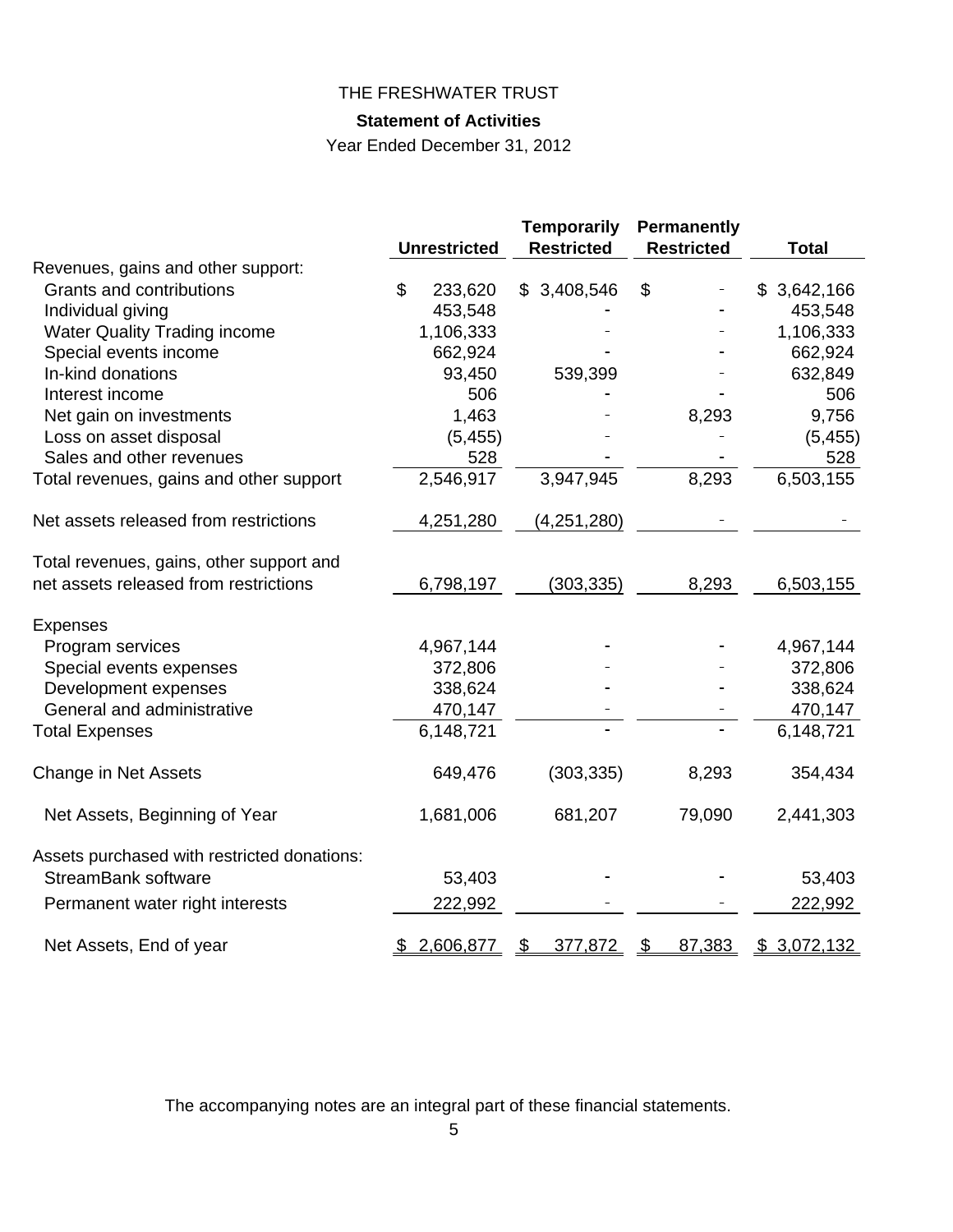#### THE FRESHWATER TRUST

#### **Statement of Activities**

Year Ended December 31, 2012

|                                             | <b>Unrestricted</b> |          | <b>Temporarily</b><br><b>Restricted</b> | <b>Permanently</b><br><b>Restricted</b> | <b>Total</b> |
|---------------------------------------------|---------------------|----------|-----------------------------------------|-----------------------------------------|--------------|
| Revenues, gains and other support:          |                     |          |                                         |                                         |              |
| Grants and contributions                    | \$<br>233,620       |          | \$3,408,546                             | \$                                      | \$3,642,166  |
| Individual giving                           | 453,548             |          |                                         |                                         | 453,548      |
| <b>Water Quality Trading income</b>         | 1,106,333           |          |                                         |                                         | 1,106,333    |
| Special events income                       | 662,924             |          |                                         |                                         | 662,924      |
| In-kind donations                           | 93,450              |          | 539,399                                 |                                         | 632,849      |
| Interest income                             |                     | 506      |                                         |                                         | 506          |
| Net gain on investments                     |                     | 1,463    |                                         | 8,293                                   | 9,756        |
| Loss on asset disposal                      |                     | (5, 455) |                                         |                                         | (5, 455)     |
| Sales and other revenues                    |                     | 528      |                                         |                                         | 528          |
| Total revenues, gains and other support     | 2,546,917           |          | 3,947,945                               | 8,293                                   | 6,503,155    |
| Net assets released from restrictions       | 4,251,280           |          | (4,251,280)                             |                                         |              |
| Total revenues, gains, other support and    |                     |          |                                         |                                         |              |
| net assets released from restrictions       | 6,798,197           |          | (303, 335)                              | 8,293                                   | 6,503,155    |
| <b>Expenses</b>                             |                     |          |                                         |                                         |              |
| Program services                            | 4,967,144           |          |                                         |                                         | 4,967,144    |
| Special events expenses                     | 372,806             |          |                                         |                                         | 372,806      |
| Development expenses                        | 338,624             |          |                                         |                                         | 338,624      |
| General and administrative                  | 470,147             |          |                                         |                                         | 470,147      |
| <b>Total Expenses</b>                       | 6,148,721           |          |                                         |                                         | 6,148,721    |
| Change in Net Assets                        | 649,476             |          | (303, 335)                              | 8,293                                   | 354,434      |
| Net Assets, Beginning of Year               | 1,681,006           |          | 681,207                                 | 79,090                                  | 2,441,303    |
| Assets purchased with restricted donations: |                     |          |                                         |                                         |              |
| <b>StreamBank software</b>                  | 53,403              |          |                                         |                                         | 53,403       |
| Permanent water right interests             | 222,992             |          |                                         |                                         | 222,992      |
| Net Assets, End of year                     | \$2,606,877         |          | $\mathfrak{L}$<br>377,872               | $\mathfrak{L}$<br>87,383                | \$3,072,132  |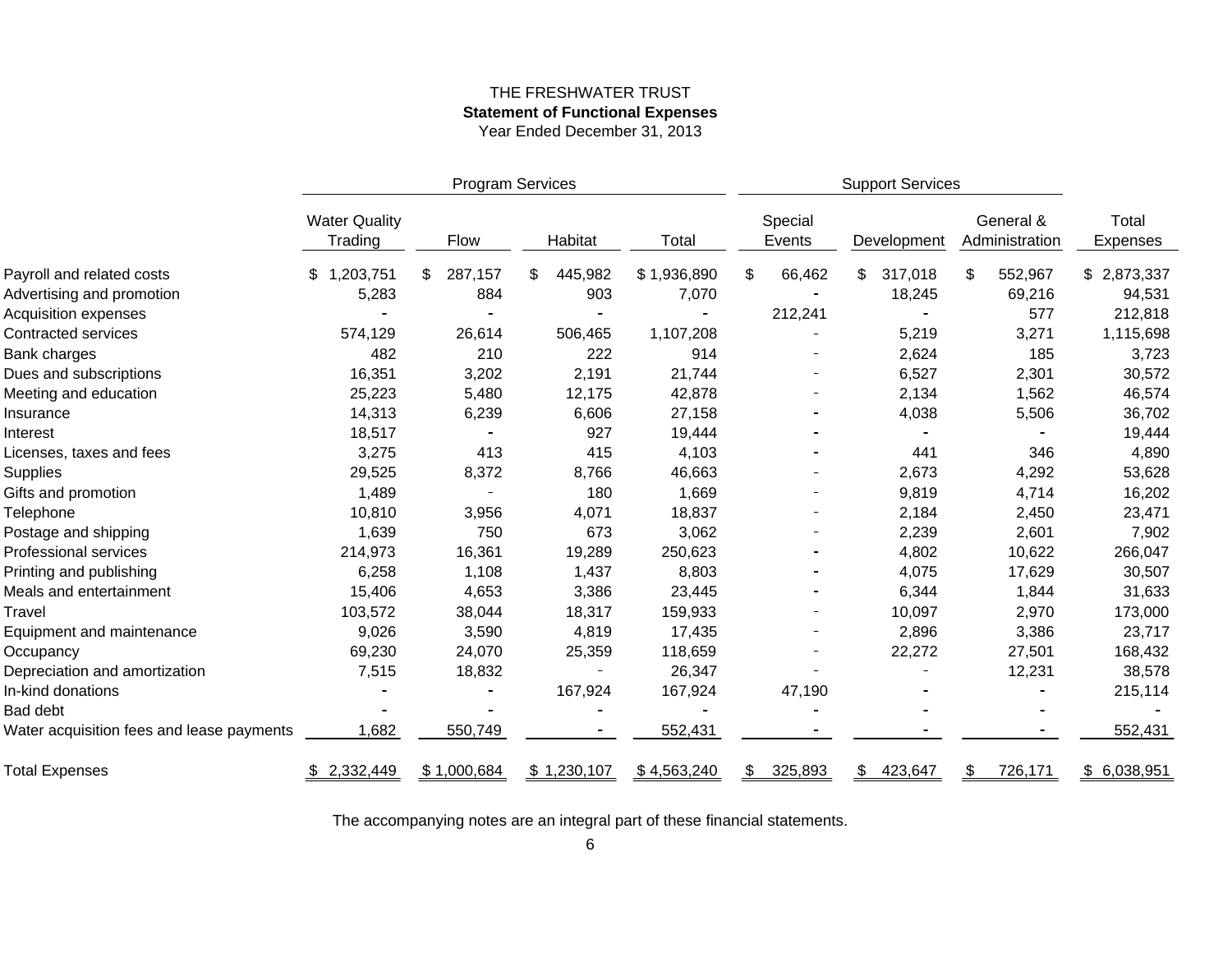#### THE FRESHWATER TRUST **Statement of Functional Expenses** Year Ended December 31, 2013

|                                           | <b>Program Services</b>         |             |                |             | <b>Support Services</b> |               |                             |                   |
|-------------------------------------------|---------------------------------|-------------|----------------|-------------|-------------------------|---------------|-----------------------------|-------------------|
|                                           | <b>Water Quality</b><br>Trading | Flow        | Habitat        | Total       | Special<br>Events       | Development   | General &<br>Administration | Total<br>Expenses |
| Payroll and related costs                 | 1,203,751                       | 287,157     | 445,982<br>\$. | \$1,936,890 | \$<br>66,462            | 317,018<br>\$ | \$<br>552,967               | \$2,873,337       |
| Advertising and promotion                 | 5,283                           | 884         | 903            | 7,070       |                         | 18,245        | 69,216                      | 94,531            |
| <b>Acquisition expenses</b>               |                                 |             |                |             | 212,241                 |               | 577                         | 212,818           |
| Contracted services                       | 574,129                         | 26,614      | 506,465        | 1,107,208   |                         | 5,219         | 3,271                       | 1,115,698         |
| Bank charges                              | 482                             | 210         | 222            | 914         |                         | 2,624         | 185                         | 3,723             |
| Dues and subscriptions                    | 16,351                          | 3,202       | 2,191          | 21,744      |                         | 6,527         | 2,301                       | 30,572            |
| Meeting and education                     | 25,223                          | 5,480       | 12,175         | 42,878      |                         | 2,134         | 1,562                       | 46,574            |
| Insurance                                 | 14,313                          | 6,239       | 6,606          | 27,158      |                         | 4,038         | 5,506                       | 36,702            |
| Interest                                  | 18,517                          |             | 927            | 19,444      |                         |               |                             | 19,444            |
| Licenses, taxes and fees                  | 3,275                           | 413         | 415            | 4,103       |                         | 441           | 346                         | 4,890             |
| <b>Supplies</b>                           | 29,525                          | 8,372       | 8,766          | 46,663      |                         | 2,673         | 4,292                       | 53,628            |
| Gifts and promotion                       | 1,489                           |             | 180            | 1,669       |                         | 9,819         | 4,714                       | 16,202            |
| Telephone                                 | 10,810                          | 3,956       | 4,071          | 18,837      |                         | 2,184         | 2,450                       | 23,471            |
| Postage and shipping                      | 1,639                           | 750         | 673            | 3,062       |                         | 2,239         | 2,601                       | 7,902             |
| <b>Professional services</b>              | 214,973                         | 16,361      | 19,289         | 250,623     |                         | 4,802         | 10,622                      | 266,047           |
| Printing and publishing                   | 6,258                           | 1,108       | 1,437          | 8,803       |                         | 4,075         | 17,629                      | 30,507            |
| Meals and entertainment                   | 15,406                          | 4,653       | 3,386          | 23,445      |                         | 6,344         | 1,844                       | 31,633            |
| Travel                                    | 103,572                         | 38,044      | 18,317         | 159,933     |                         | 10,097        | 2,970                       | 173,000           |
| Equipment and maintenance                 | 9,026                           | 3,590       | 4,819          | 17,435      |                         | 2,896         | 3,386                       | 23,717            |
| Occupancy                                 | 69,230                          | 24,070      | 25,359         | 118,659     |                         | 22,272        | 27,501                      | 168,432           |
| Depreciation and amortization             | 7,515                           | 18,832      |                | 26,347      |                         |               | 12,231                      | 38,578            |
| In-kind donations                         |                                 |             | 167,924        | 167,924     | 47,190                  |               |                             | 215,114           |
| Bad debt                                  |                                 |             |                |             |                         |               |                             |                   |
| Water acquisition fees and lease payments | 1,682                           | 550,749     |                | 552,431     |                         |               |                             | 552,431           |
| <b>Total Expenses</b>                     | 2,332,449                       | \$1,000,684 | \$1,230,107    | \$4,563,240 | 325,893<br>\$           | 423,647<br>\$ | 726,171<br>\$               | \$6,038,951       |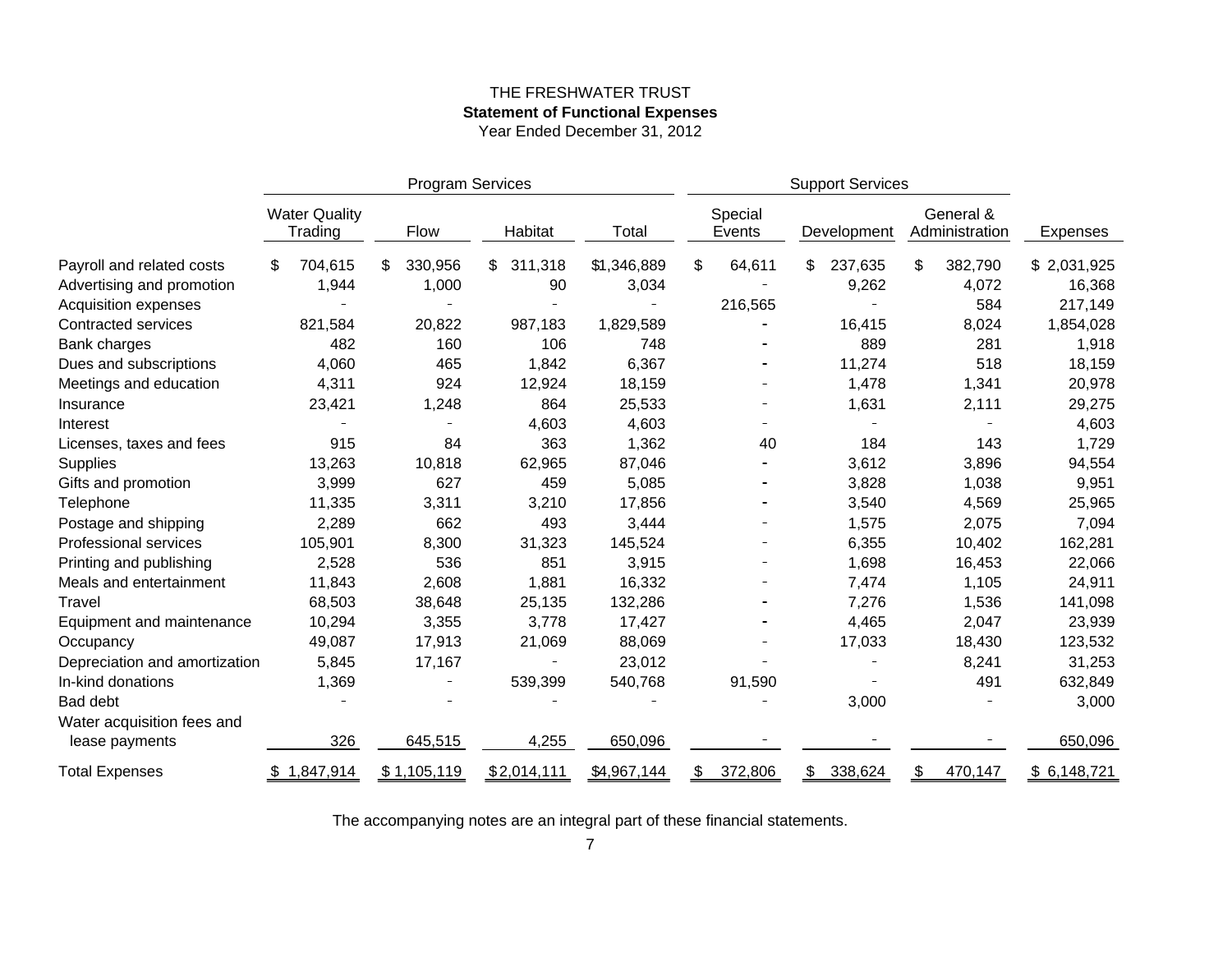#### THE FRESHWATER TRUST **Statement of Functional Expenses** Year Ended December 31, 2012

|                                  | <b>Program Services</b>         |                |             |             | <b>Support Services</b> |               |                             |             |
|----------------------------------|---------------------------------|----------------|-------------|-------------|-------------------------|---------------|-----------------------------|-------------|
|                                  | <b>Water Quality</b><br>Trading | Flow           | Habitat     | Total       | Special<br>Events       | Development   | General &<br>Administration | Expenses    |
| Payroll and related costs        | 704,615                         | 330,956<br>\$. | \$311,318   | \$1,346,889 | 64,611<br>\$            | \$<br>237,635 | \$<br>382,790               | \$2,031,925 |
| Advertising and promotion        | 1,944                           | 1,000          | 90          | 3,034       |                         | 9,262         | 4,072                       | 16,368      |
| Acquisition expenses             |                                 |                |             |             | 216,565                 |               | 584                         | 217,149     |
| <b>Contracted services</b>       | 821,584                         | 20,822         | 987,183     | 1,829,589   |                         | 16,415        | 8,024                       | 1,854,028   |
| Bank charges                     | 482                             | 160            | 106         | 748         |                         | 889           | 281                         | 1,918       |
| Dues and subscriptions           | 4,060                           | 465            | 1,842       | 6,367       |                         | 11,274        | 518                         | 18,159      |
| Meetings and education           | 4,311                           | 924            | 12,924      | 18,159      |                         | 1,478         | 1,341                       | 20,978      |
| Insurance                        | 23,421                          | 1,248          | 864         | 25,533      |                         | 1,631         | 2,111                       | 29,275      |
| Interest                         |                                 |                | 4,603       | 4,603       |                         |               |                             | 4,603       |
| Licenses, taxes and fees         | 915                             | 84             | 363         | 1,362       | 40                      | 184           | 143                         | 1,729       |
| <b>Supplies</b>                  | 13,263                          | 10,818         | 62,965      | 87,046      |                         | 3,612         | 3,896                       | 94,554      |
| Gifts and promotion              | 3,999                           | 627            | 459         | 5,085       |                         | 3,828         | 1,038                       | 9,951       |
| Telephone                        | 11,335                          | 3,311          | 3,210       | 17,856      |                         | 3,540         | 4,569                       | 25,965      |
| Postage and shipping             | 2,289                           | 662            | 493         | 3,444       |                         | 1,575         | 2,075                       | 7,094       |
| Professional services            | 105,901                         | 8,300          | 31,323      | 145,524     |                         | 6,355         | 10,402                      | 162,281     |
| Printing and publishing          | 2,528                           | 536            | 851         | 3,915       |                         | 1,698         | 16,453                      | 22,066      |
| Meals and entertainment          | 11,843                          | 2,608          | 1,881       | 16,332      |                         | 7,474         | 1,105                       | 24,911      |
| Travel                           | 68,503                          | 38,648         | 25,135      | 132,286     |                         | 7,276         | 1,536                       | 141,098     |
| <b>Equipment and maintenance</b> | 10,294                          | 3,355          | 3,778       | 17,427      |                         | 4,465         | 2,047                       | 23,939      |
| Occupancy                        | 49,087                          | 17,913         | 21,069      | 88,069      |                         | 17,033        | 18,430                      | 123,532     |
| Depreciation and amortization    | 5,845                           | 17,167         |             | 23,012      |                         |               | 8,241                       | 31,253      |
| In-kind donations                | 1,369                           |                | 539,399     | 540,768     | 91,590                  |               | 491                         | 632,849     |
| Bad debt                         |                                 |                |             |             |                         | 3,000         |                             | 3,000       |
| Water acquisition fees and       |                                 |                |             |             |                         |               |                             |             |
| lease payments                   | 326                             | 645,515        | 4,255       | 650,096     |                         |               |                             | 650,096     |
| <b>Total Expenses</b>            | \$1,847,914                     | \$1,105,119    | \$2,014,111 | \$4,967,144 | 372,806<br>\$           | \$<br>338,624 | 470,147<br>\$               | \$6,148,721 |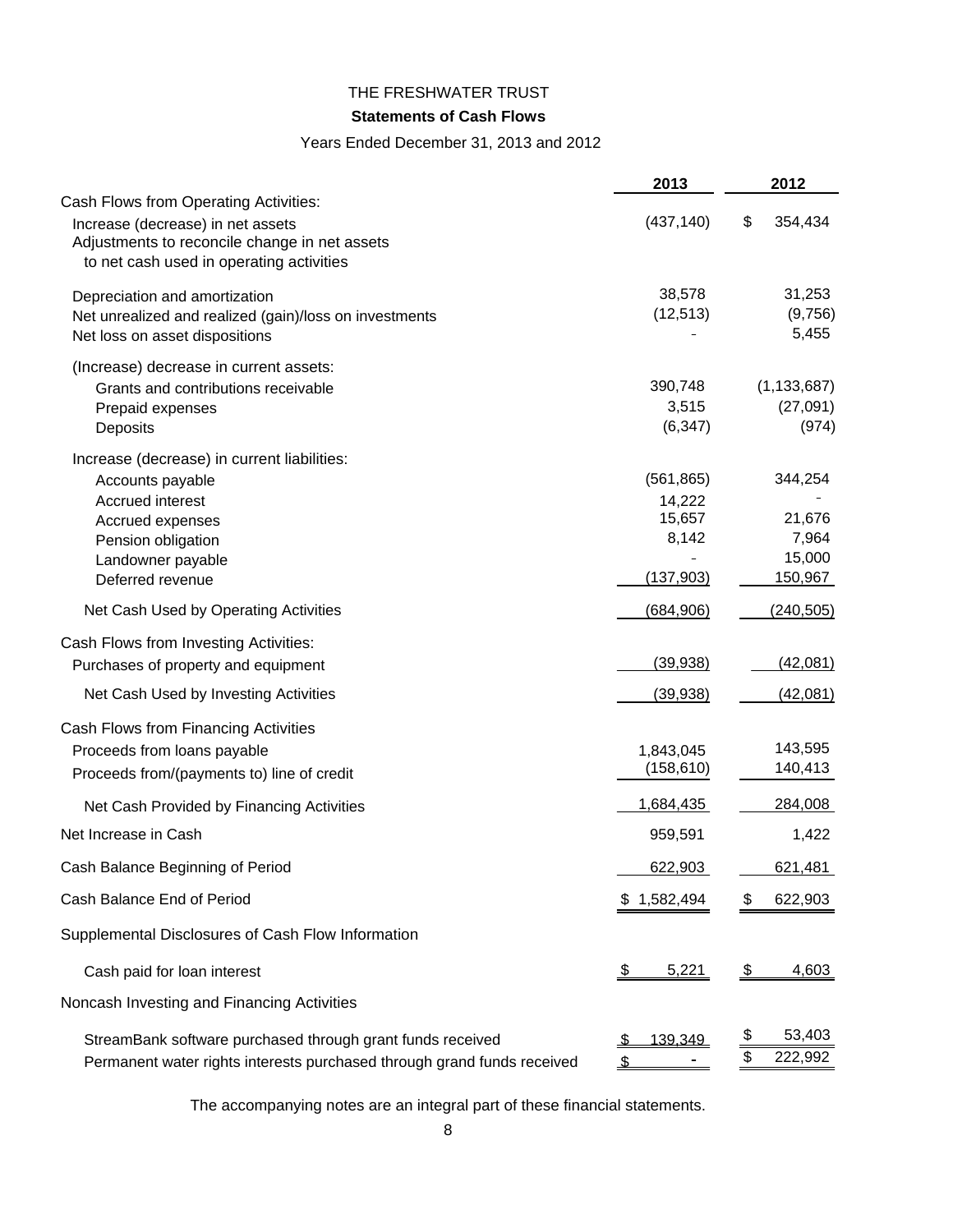#### THE FRESHWATER TRUST

#### **Statements of Cash Flows**

Years Ended December 31, 2013 and 2012

|                                                                                                                                                                         | 2013                                                  | 2012                                            |
|-------------------------------------------------------------------------------------------------------------------------------------------------------------------------|-------------------------------------------------------|-------------------------------------------------|
| Cash Flows from Operating Activities:<br>Increase (decrease) in net assets<br>Adjustments to reconcile change in net assets<br>to net cash used in operating activities | (437, 140)                                            | \$<br>354,434                                   |
| Depreciation and amortization<br>Net unrealized and realized (gain)/loss on investments<br>Net loss on asset dispositions                                               | 38,578<br>(12, 513)                                   | 31,253<br>(9,756)<br>5,455                      |
| (Increase) decrease in current assets:<br>Grants and contributions receivable<br>Prepaid expenses<br>Deposits                                                           | 390,748<br>3,515<br>(6, 347)                          | (1, 133, 687)<br>(27,091)<br>(974)              |
| Increase (decrease) in current liabilities:<br>Accounts payable<br>Accrued interest<br>Accrued expenses<br>Pension obligation<br>Landowner payable<br>Deferred revenue  | (561, 865)<br>14,222<br>15,657<br>8,142<br>(137, 903) | 344,254<br>21,676<br>7,964<br>15,000<br>150,967 |
| Net Cash Used by Operating Activities                                                                                                                                   | (684, 906)                                            | (240, 505)                                      |
| Cash Flows from Investing Activities:<br>Purchases of property and equipment                                                                                            | (39, 938)                                             | (42,081)                                        |
| Net Cash Used by Investing Activities                                                                                                                                   | (39, 938)                                             | (42,081)                                        |
| Cash Flows from Financing Activities<br>Proceeds from loans payable<br>Proceeds from/(payments to) line of credit                                                       | 1,843,045<br>(158, 610)                               | 143,595<br>140,413                              |
| Net Cash Provided by Financing Activities                                                                                                                               | 1,684,435                                             | 284,008                                         |
| Net Increase in Cash                                                                                                                                                    | 959,591                                               | 1,422                                           |
| Cash Balance Beginning of Period                                                                                                                                        | 622,903                                               | 621,481                                         |
| Cash Balance End of Period                                                                                                                                              | 1,582,494                                             | 622,903                                         |
| Supplemental Disclosures of Cash Flow Information                                                                                                                       |                                                       |                                                 |
| Cash paid for loan interest                                                                                                                                             | 5,221<br><u>\$</u>                                    | <u>\$</u><br>4,603                              |
| Noncash Investing and Financing Activities                                                                                                                              |                                                       |                                                 |
| StreamBank software purchased through grant funds received<br>Permanent water rights interests purchased through grand funds received                                   | <u>139,349</u>                                        | 53,403<br>222,992                               |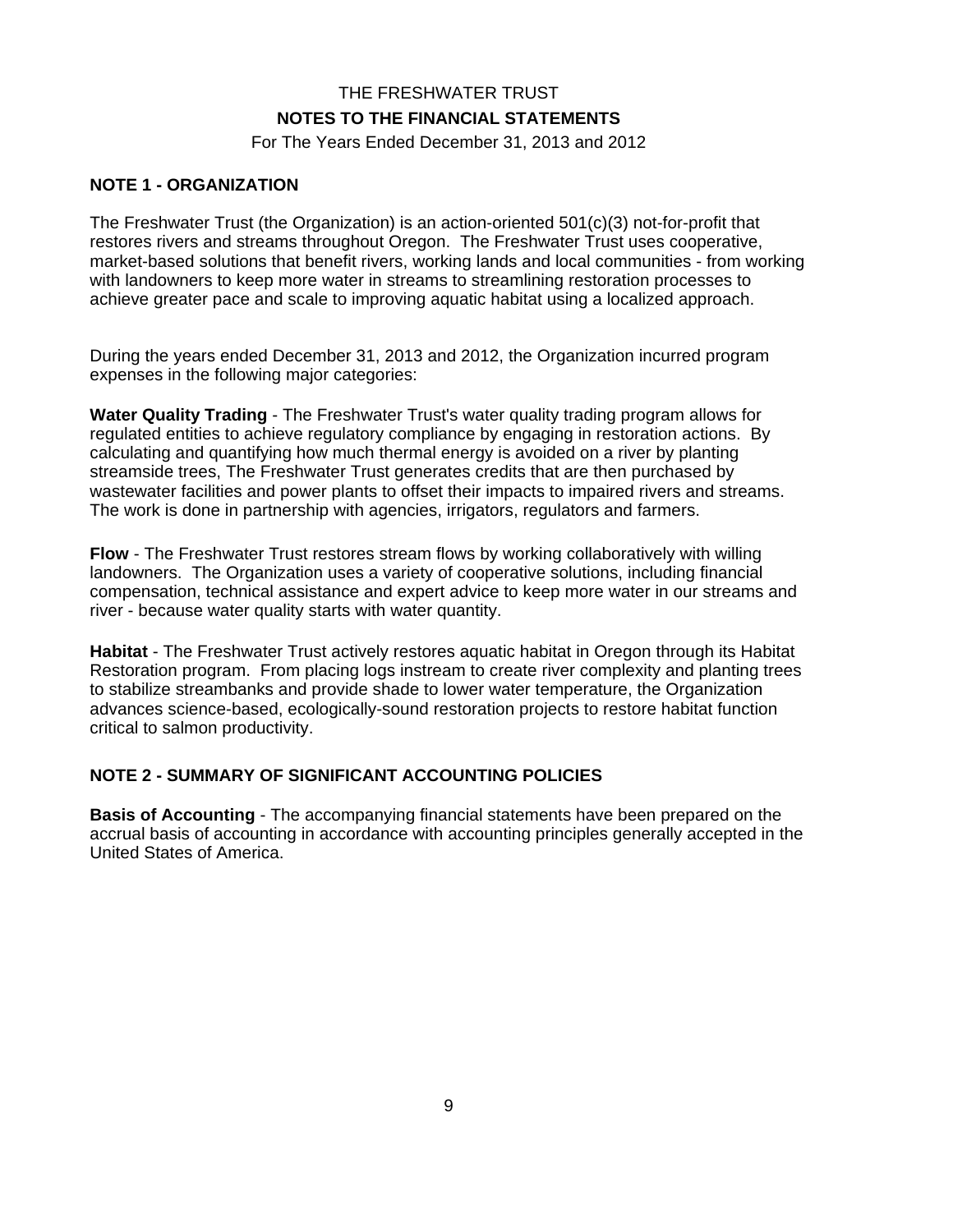For The Years Ended December 31, 2013 and 2012

#### **NOTE 1 - ORGANIZATION**

The Freshwater Trust (the Organization) is an action-oriented 501(c)(3) not-for-profit that restores rivers and streams throughout Oregon. The Freshwater Trust uses cooperative, market-based solutions that benefit rivers, working lands and local communities - from working with landowners to keep more water in streams to streamlining restoration processes to achieve greater pace and scale to improving aquatic habitat using a localized approach.

During the years ended December 31, 2013 and 2012, the Organization incurred program expenses in the following major categories:

**Water Quality Trading** - The Freshwater Trust's water quality trading program allows for regulated entities to achieve regulatory compliance by engaging in restoration actions. By calculating and quantifying how much thermal energy is avoided on a river by planting streamside trees, The Freshwater Trust generates credits that are then purchased by wastewater facilities and power plants to offset their impacts to impaired rivers and streams. The work is done in partnership with agencies, irrigators, regulators and farmers.

**Flow** - The Freshwater Trust restores stream flows by working collaboratively with willing landowners. The Organization uses a variety of cooperative solutions, including financial compensation, technical assistance and expert advice to keep more water in our streams and river - because water quality starts with water quantity.

**Habitat** - The Freshwater Trust actively restores aquatic habitat in Oregon through its Habitat Restoration program. From placing logs instream to create river complexity and planting trees to stabilize streambanks and provide shade to lower water temperature, the Organization advances science-based, ecologically-sound restoration projects to restore habitat function critical to salmon productivity.

#### **NOTE 2 - SUMMARY OF SIGNIFICANT ACCOUNTING POLICIES**

**Basis of Accounting** - The accompanying financial statements have been prepared on the accrual basis of accounting in accordance with accounting principles generally accepted in the United States of America.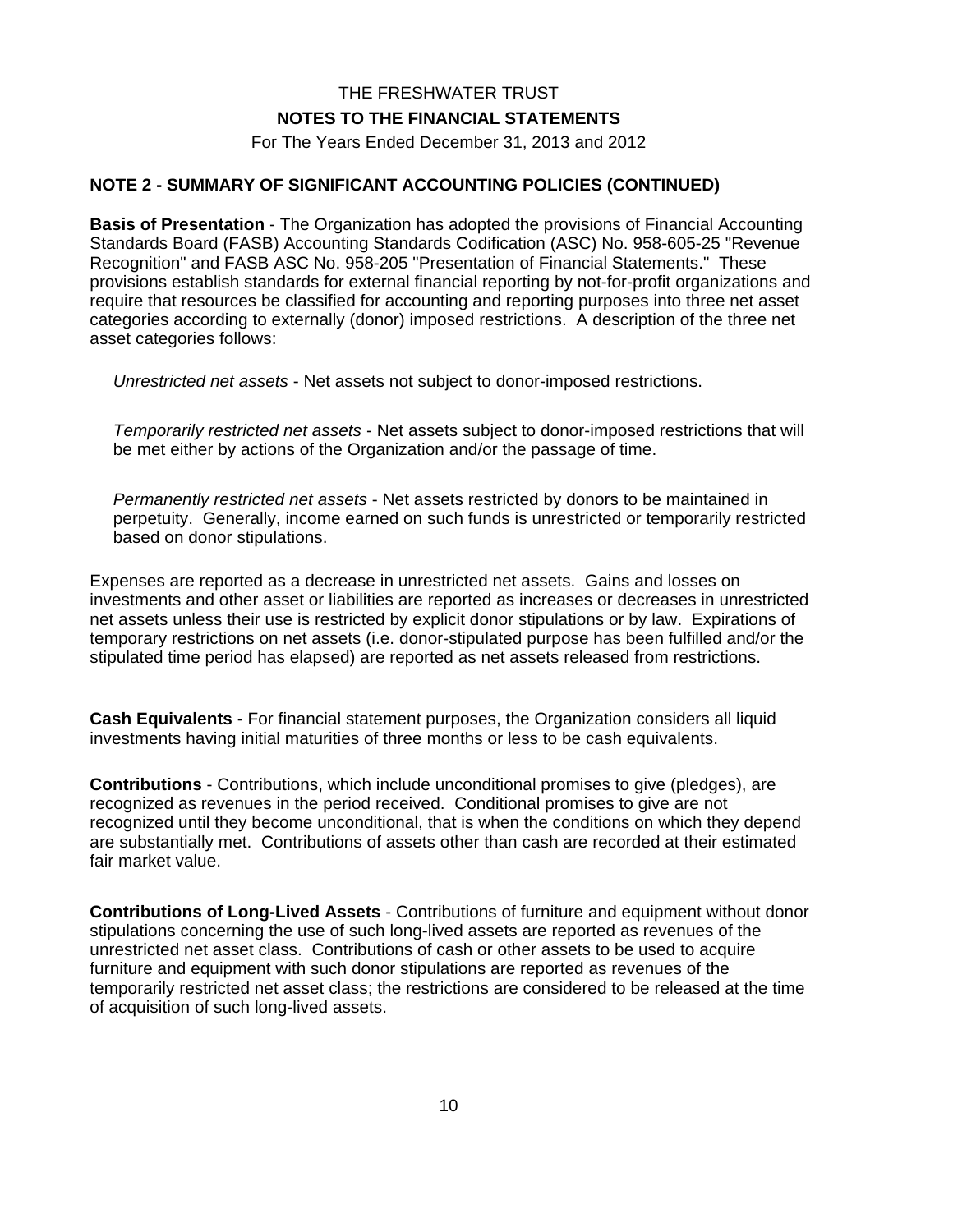For The Years Ended December 31, 2013 and 2012

#### **NOTE 2 - SUMMARY OF SIGNIFICANT ACCOUNTING POLICIES (CONTINUED)**

**Basis of Presentation** - The Organization has adopted the provisions of Financial Accounting Standards Board (FASB) Accounting Standards Codification (ASC) No. 958-605-25 "Revenue Recognition" and FASB ASC No. 958-205 "Presentation of Financial Statements." These provisions establish standards for external financial reporting by not-for-profit organizations and require that resources be classified for accounting and reporting purposes into three net asset categories according to externally (donor) imposed restrictions. A description of the three net asset categories follows:

*Unrestricted net assets* - Net assets not subject to donor-imposed restrictions.

*Temporarily restricted net assets* - Net assets subject to donor-imposed restrictions that will be met either by actions of the Organization and/or the passage of time.

*Permanently restricted net assets* - Net assets restricted by donors to be maintained in perpetuity. Generally, income earned on such funds is unrestricted or temporarily restricted based on donor stipulations.

Expenses are reported as a decrease in unrestricted net assets. Gains and losses on investments and other asset or liabilities are reported as increases or decreases in unrestricted net assets unless their use is restricted by explicit donor stipulations or by law. Expirations of temporary restrictions on net assets (i.e. donor-stipulated purpose has been fulfilled and/or the stipulated time period has elapsed) are reported as net assets released from restrictions.

**Cash Equivalents** - For financial statement purposes, the Organization considers all liquid investments having initial maturities of three months or less to be cash equivalents.

**Contributions** - Contributions, which include unconditional promises to give (pledges), are recognized as revenues in the period received. Conditional promises to give are not recognized until they become unconditional, that is when the conditions on which they depend are substantially met. Contributions of assets other than cash are recorded at their estimated fair market value.

**Contributions of Long-Lived Assets** - Contributions of furniture and equipment without donor stipulations concerning the use of such long-lived assets are reported as revenues of the unrestricted net asset class. Contributions of cash or other assets to be used to acquire furniture and equipment with such donor stipulations are reported as revenues of the temporarily restricted net asset class; the restrictions are considered to be released at the time of acquisition of such long-lived assets.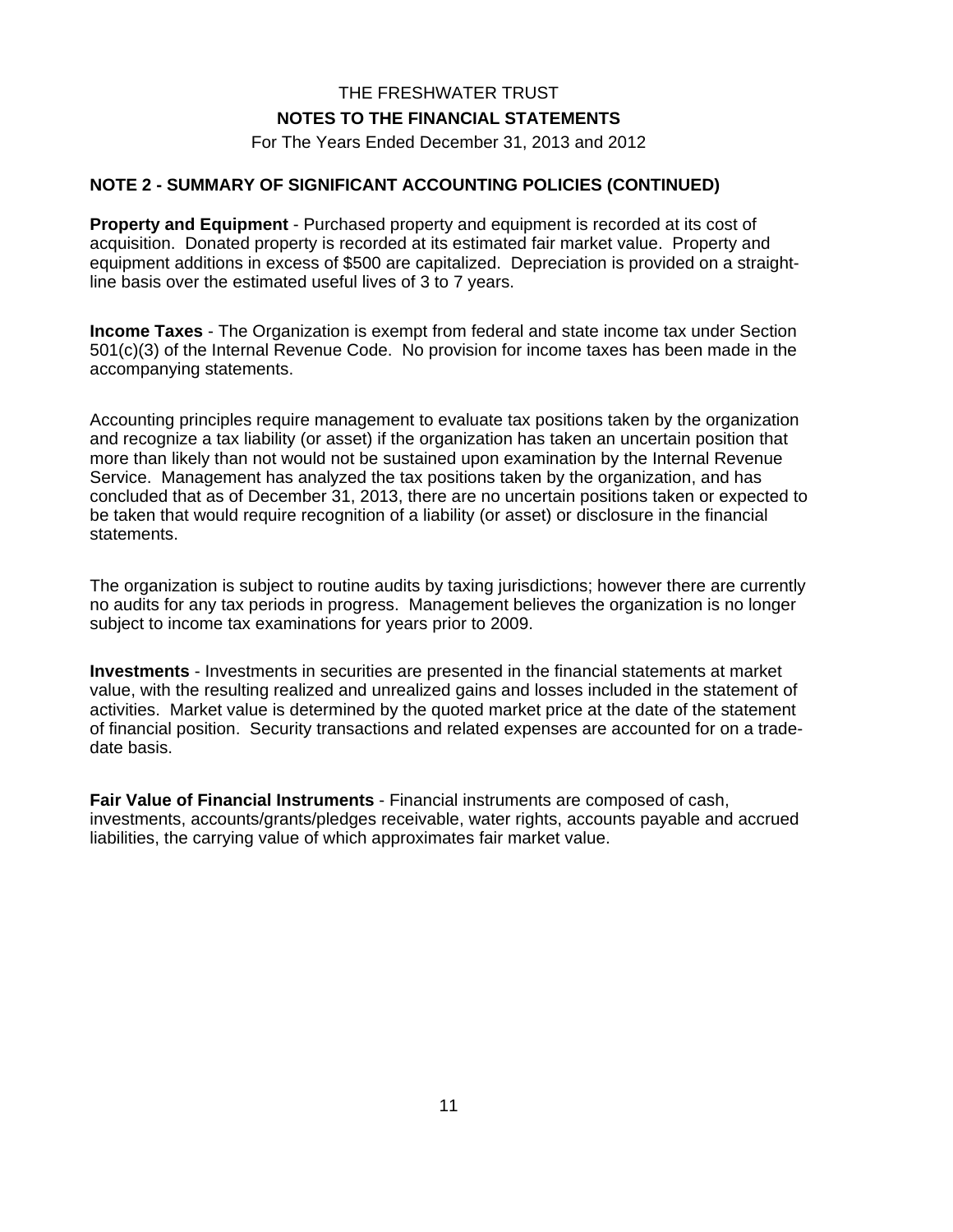For The Years Ended December 31, 2013 and 2012

#### **NOTE 2 - SUMMARY OF SIGNIFICANT ACCOUNTING POLICIES (CONTINUED)**

**Property and Equipment** - Purchased property and equipment is recorded at its cost of acquisition. Donated property is recorded at its estimated fair market value. Property and equipment additions in excess of \$500 are capitalized. Depreciation is provided on a straightline basis over the estimated useful lives of 3 to 7 years.

**Income Taxes** - The Organization is exempt from federal and state income tax under Section 501(c)(3) of the Internal Revenue Code. No provision for income taxes has been made in the accompanying statements.

Accounting principles require management to evaluate tax positions taken by the organization and recognize a tax liability (or asset) if the organization has taken an uncertain position that more than likely than not would not be sustained upon examination by the Internal Revenue Service. Management has analyzed the tax positions taken by the organization, and has concluded that as of December 31, 2013, there are no uncertain positions taken or expected to be taken that would require recognition of a liability (or asset) or disclosure in the financial statements.

The organization is subject to routine audits by taxing jurisdictions; however there are currently no audits for any tax periods in progress. Management believes the organization is no longer subject to income tax examinations for years prior to 2009.

**Investments** - Investments in securities are presented in the financial statements at market value, with the resulting realized and unrealized gains and losses included in the statement of activities. Market value is determined by the quoted market price at the date of the statement of financial position. Security transactions and related expenses are accounted for on a tradedate basis.

**Fair Value of Financial Instruments** - Financial instruments are composed of cash, investments, accounts/grants/pledges receivable, water rights, accounts payable and accrued liabilities, the carrying value of which approximates fair market value.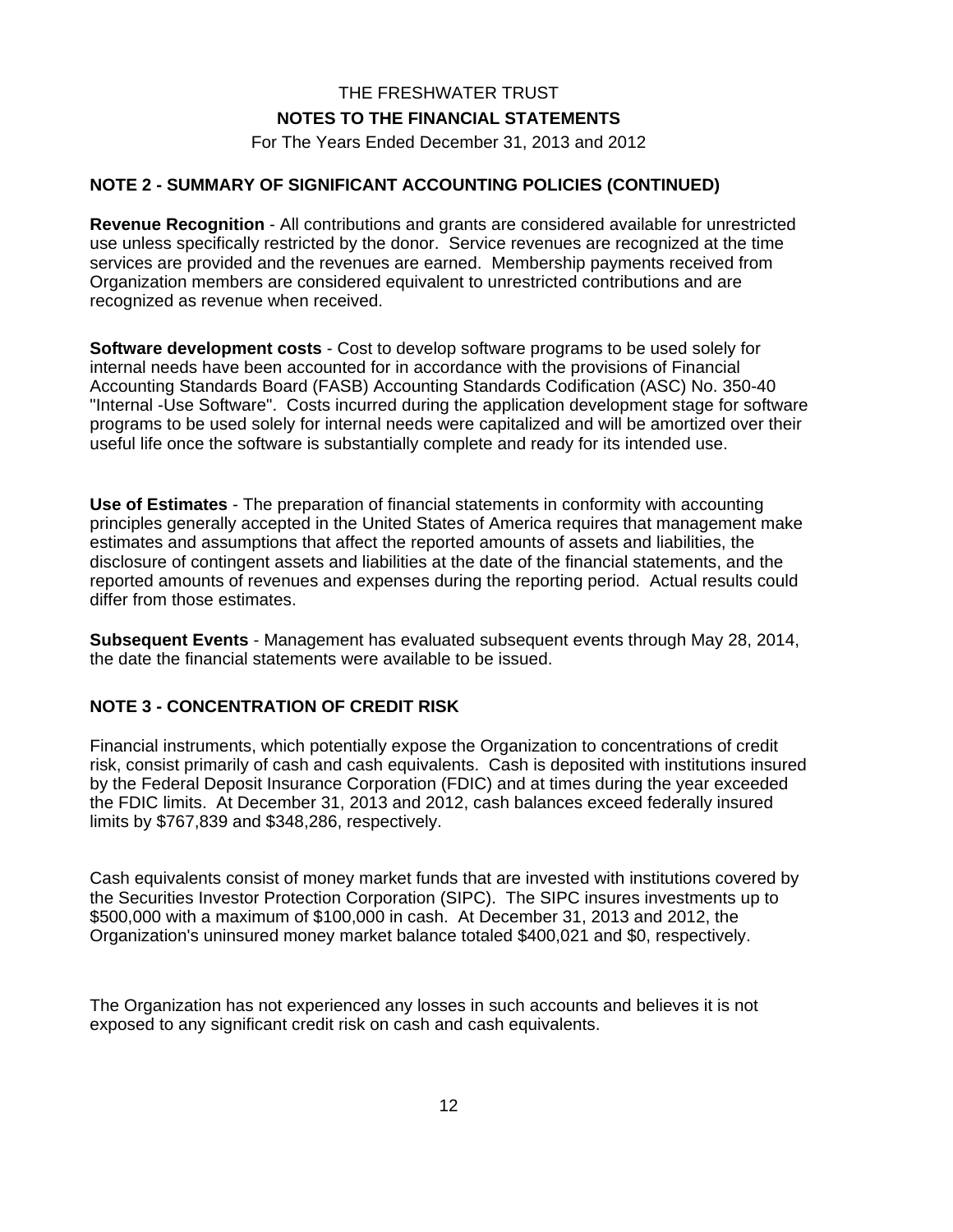For The Years Ended December 31, 2013 and 2012

#### **NOTE 2 - SUMMARY OF SIGNIFICANT ACCOUNTING POLICIES (CONTINUED)**

**Revenue Recognition** - All contributions and grants are considered available for unrestricted use unless specifically restricted by the donor. Service revenues are recognized at the time services are provided and the revenues are earned. Membership payments received from Organization members are considered equivalent to unrestricted contributions and are recognized as revenue when received.

**Software development costs** - Cost to develop software programs to be used solely for internal needs have been accounted for in accordance with the provisions of Financial Accounting Standards Board (FASB) Accounting Standards Codification (ASC) No. 350-40 "Internal -Use Software". Costs incurred during the application development stage for software programs to be used solely for internal needs were capitalized and will be amortized over their useful life once the software is substantially complete and ready for its intended use.

**Use of Estimates** - The preparation of financial statements in conformity with accounting principles generally accepted in the United States of America requires that management make estimates and assumptions that affect the reported amounts of assets and liabilities, the disclosure of contingent assets and liabilities at the date of the financial statements, and the reported amounts of revenues and expenses during the reporting period. Actual results could differ from those estimates.

**Subsequent Events** - Management has evaluated subsequent events through May 28, 2014, the date the financial statements were available to be issued.

#### **NOTE 3 - CONCENTRATION OF CREDIT RISK**

Financial instruments, which potentially expose the Organization to concentrations of credit risk, consist primarily of cash and cash equivalents. Cash is deposited with institutions insured by the Federal Deposit Insurance Corporation (FDIC) and at times during the year exceeded the FDIC limits. At December 31, 2013 and 2012, cash balances exceed federally insured limits by \$767,839 and \$348,286, respectively.

Cash equivalents consist of money market funds that are invested with institutions covered by the Securities Investor Protection Corporation (SIPC). The SIPC insures investments up to \$500,000 with a maximum of \$100,000 in cash. At December 31, 2013 and 2012, the Organization's uninsured money market balance totaled \$400,021 and \$0, respectively.

The Organization has not experienced any losses in such accounts and believes it is not exposed to any significant credit risk on cash and cash equivalents.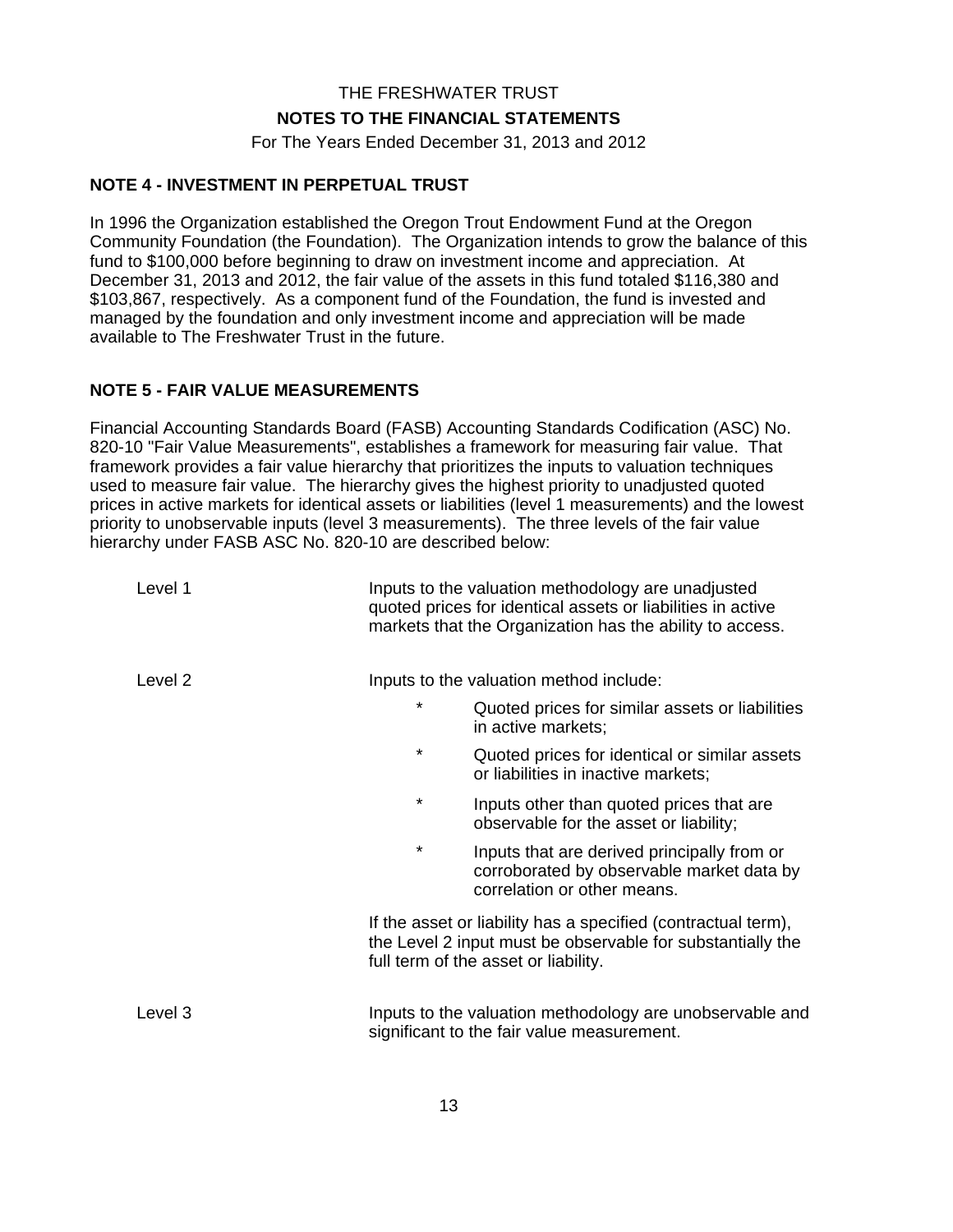For The Years Ended December 31, 2013 and 2012

#### **NOTE 4 - INVESTMENT IN PERPETUAL TRUST**

In 1996 the Organization established the Oregon Trout Endowment Fund at the Oregon Community Foundation (the Foundation). The Organization intends to grow the balance of this fund to \$100,000 before beginning to draw on investment income and appreciation. At December 31, 2013 and 2012, the fair value of the assets in this fund totaled \$116,380 and \$103,867, respectively. As a component fund of the Foundation, the fund is invested and managed by the foundation and only investment income and appreciation will be made available to The Freshwater Trust in the future.

#### **NOTE 5 - FAIR VALUE MEASUREMENTS**

Financial Accounting Standards Board (FASB) Accounting Standards Codification (ASC) No. 820-10 "Fair Value Measurements", establishes a framework for measuring fair value. That framework provides a fair value hierarchy that prioritizes the inputs to valuation techniques used to measure fair value. The hierarchy gives the highest priority to unadjusted quoted prices in active markets for identical assets or liabilities (level 1 measurements) and the lowest priority to unobservable inputs (level 3 measurements). The three levels of the fair value hierarchy under FASB ASC No. 820-10 are described below:

| Level 1 | Inputs to the valuation methodology are unadjusted<br>quoted prices for identical assets or liabilities in active<br>markets that the Organization has the ability to access. |
|---------|-------------------------------------------------------------------------------------------------------------------------------------------------------------------------------|
| Level 2 | Inputs to the valuation method include:                                                                                                                                       |
|         | $\star$<br>Quoted prices for similar assets or liabilities<br>in active markets;                                                                                              |
|         | *<br>Quoted prices for identical or similar assets<br>or liabilities in inactive markets;                                                                                     |
|         | *<br>Inputs other than quoted prices that are<br>observable for the asset or liability;                                                                                       |
|         | $\star$<br>Inputs that are derived principally from or<br>corroborated by observable market data by<br>correlation or other means.                                            |
|         | If the asset or liability has a specified (contractual term),<br>the Level 2 input must be observable for substantially the<br>full term of the asset or liability.           |
| Level 3 | Inputs to the valuation methodology are unobservable and<br>significant to the fair value measurement.                                                                        |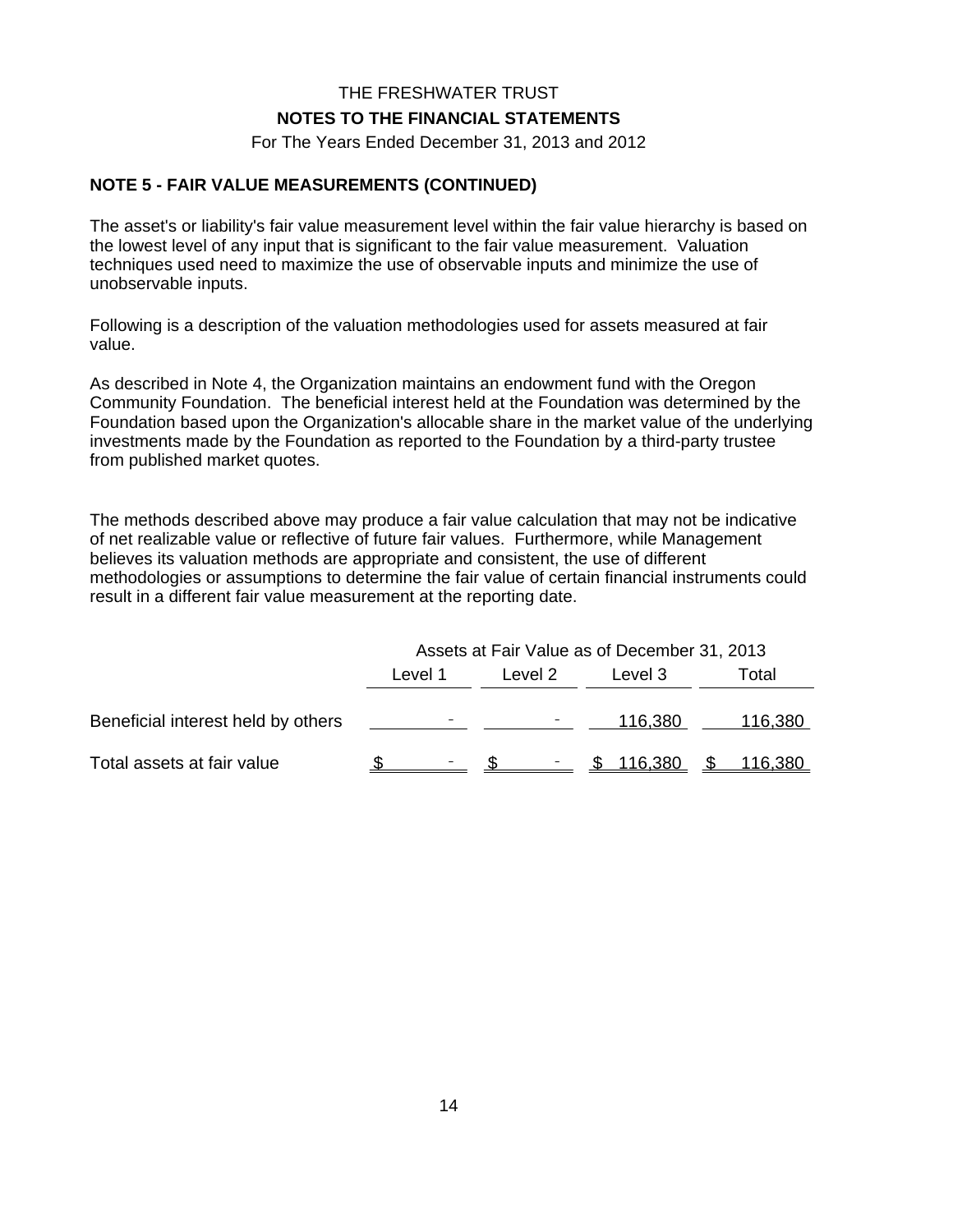For The Years Ended December 31, 2013 and 2012

#### **NOTE 5 - FAIR VALUE MEASUREMENTS (CONTINUED)**

The asset's or liability's fair value measurement level within the fair value hierarchy is based on the lowest level of any input that is significant to the fair value measurement. Valuation techniques used need to maximize the use of observable inputs and minimize the use of unobservable inputs.

Following is a description of the valuation methodologies used for assets measured at fair value.

As described in Note 4, the Organization maintains an endowment fund with the Oregon Community Foundation. The beneficial interest held at the Foundation was determined by the Foundation based upon the Organization's allocable share in the market value of the underlying investments made by the Foundation as reported to the Foundation by a third-party trustee from published market quotes.

The methods described above may produce a fair value calculation that may not be indicative of net realizable value or reflective of future fair values. Furthermore, while Management believes its valuation methods are appropriate and consistent, the use of different methodologies or assumptions to determine the fair value of certain financial instruments could result in a different fair value measurement at the reporting date.

|                                    | Assets at Fair Value as of December 31, 2013 |         |                 |         |  |  |  |  |  |
|------------------------------------|----------------------------------------------|---------|-----------------|---------|--|--|--|--|--|
|                                    | Level 1                                      | Level 2 | Level 3         | Total   |  |  |  |  |  |
| Beneficial interest held by others | -                                            | -       | 116.380         | 116.380 |  |  |  |  |  |
| Total assets at fair value         |                                              |         | $S = 5$ 116.380 | 116.380 |  |  |  |  |  |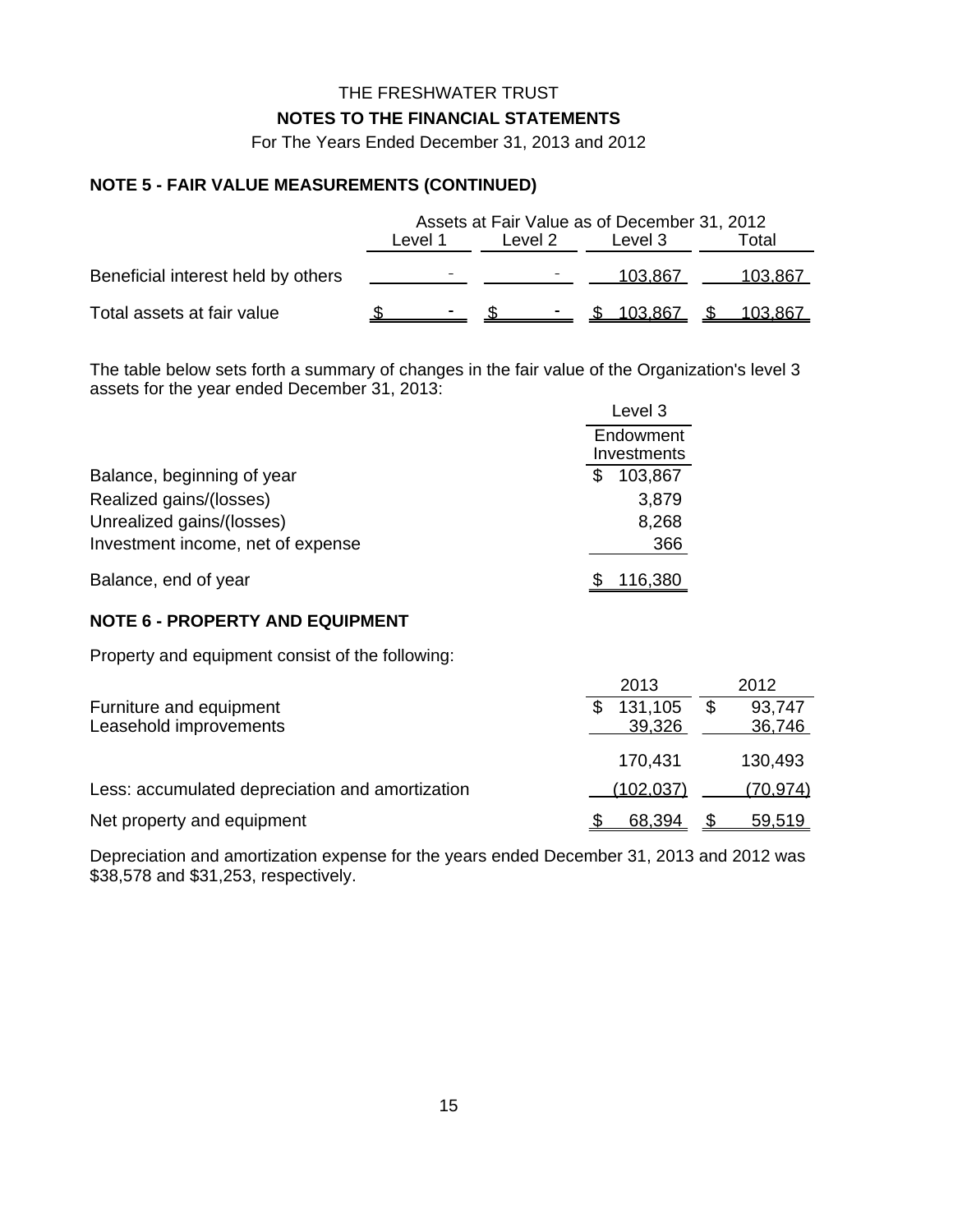For The Years Ended December 31, 2013 and 2012

## **NOTE 5 - FAIR VALUE MEASUREMENTS (CONTINUED)**

|                                    | Assets at Fair Value as of December 31, 2012 |                              |  |         |  |                                                |  |                |  |
|------------------------------------|----------------------------------------------|------------------------------|--|---------|--|------------------------------------------------|--|----------------|--|
|                                    | Level 1                                      |                              |  | Level 2 |  | Level 3                                        |  | Total          |  |
| Beneficial interest held by others |                                              | $\qquad \qquad \blacksquare$ |  | -       |  | 103.867                                        |  | 103.867        |  |
| Total assets at fair value         |                                              |                              |  |         |  | $\frac{1}{\sqrt{2}}$ \$ $\frac{103.867}{5}$ \$ |  | <u>103.867</u> |  |

The table below sets forth a summary of changes in the fair value of the Organization's level 3 assets for the year ended December 31, 2013:

|                                   | Level 3                  |
|-----------------------------------|--------------------------|
|                                   | Endowment<br>Investments |
| Balance, beginning of year        | 103,867                  |
| Realized gains/(losses)           | 3,879                    |
| Unrealized gains/(losses)         | 8,268                    |
| Investment income, net of expense | 366                      |
| Balance, end of year              | 116,380                  |

#### **NOTE 6 - PROPERTY AND EQUIPMENT**

Property and equipment consist of the following:

|                                                   | 2013              | 2012                   |
|---------------------------------------------------|-------------------|------------------------|
| Furniture and equipment<br>Leasehold improvements | 131,105<br>39,326 | \$<br>93,747<br>36,746 |
|                                                   | 170,431           | 130,493                |
| Less: accumulated depreciation and amortization   | (102, 037)        | (70, 974)              |
| Net property and equipment                        | 68.394            | <u>59,519</u>          |

Depreciation and amortization expense for the years ended December 31, 2013 and 2012 was \$38,578 and \$31,253, respectively.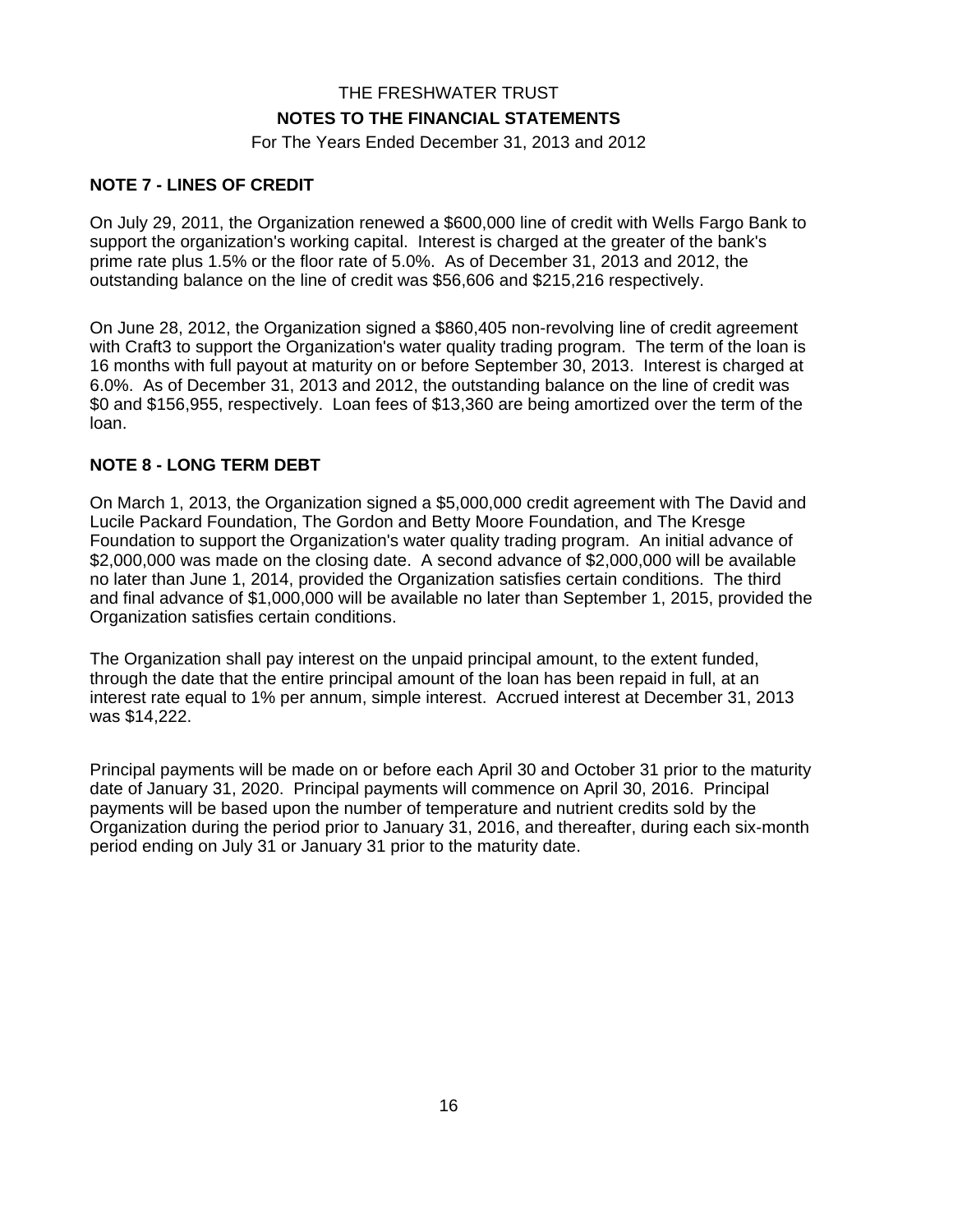For The Years Ended December 31, 2013 and 2012

#### **NOTE 7 - LINES OF CREDIT**

On July 29, 2011, the Organization renewed a \$600,000 line of credit with Wells Fargo Bank to support the organization's working capital. Interest is charged at the greater of the bank's prime rate plus 1.5% or the floor rate of 5.0%. As of December 31, 2013 and 2012, the outstanding balance on the line of credit was \$56,606 and \$215,216 respectively.

On June 28, 2012, the Organization signed a \$860,405 non-revolving line of credit agreement with Craft3 to support the Organization's water quality trading program. The term of the loan is 16 months with full payout at maturity on or before September 30, 2013. Interest is charged at 6.0%. As of December 31, 2013 and 2012, the outstanding balance on the line of credit was \$0 and \$156,955, respectively. Loan fees of \$13,360 are being amortized over the term of the loan.

#### **NOTE 8 - LONG TERM DEBT**

On March 1, 2013, the Organization signed a \$5,000,000 credit agreement with The David and Lucile Packard Foundation, The Gordon and Betty Moore Foundation, and The Kresge Foundation to support the Organization's water quality trading program. An initial advance of \$2,000,000 was made on the closing date. A second advance of \$2,000,000 will be available no later than June 1, 2014, provided the Organization satisfies certain conditions. The third and final advance of \$1,000,000 will be available no later than September 1, 2015, provided the Organization satisfies certain conditions.

The Organization shall pay interest on the unpaid principal amount, to the extent funded, through the date that the entire principal amount of the loan has been repaid in full, at an interest rate equal to 1% per annum, simple interest. Accrued interest at December 31, 2013 was \$14,222.

Principal payments will be made on or before each April 30 and October 31 prior to the maturity date of January 31, 2020. Principal payments will commence on April 30, 2016. Principal payments will be based upon the number of temperature and nutrient credits sold by the Organization during the period prior to January 31, 2016, and thereafter, during each six-month period ending on July 31 or January 31 prior to the maturity date.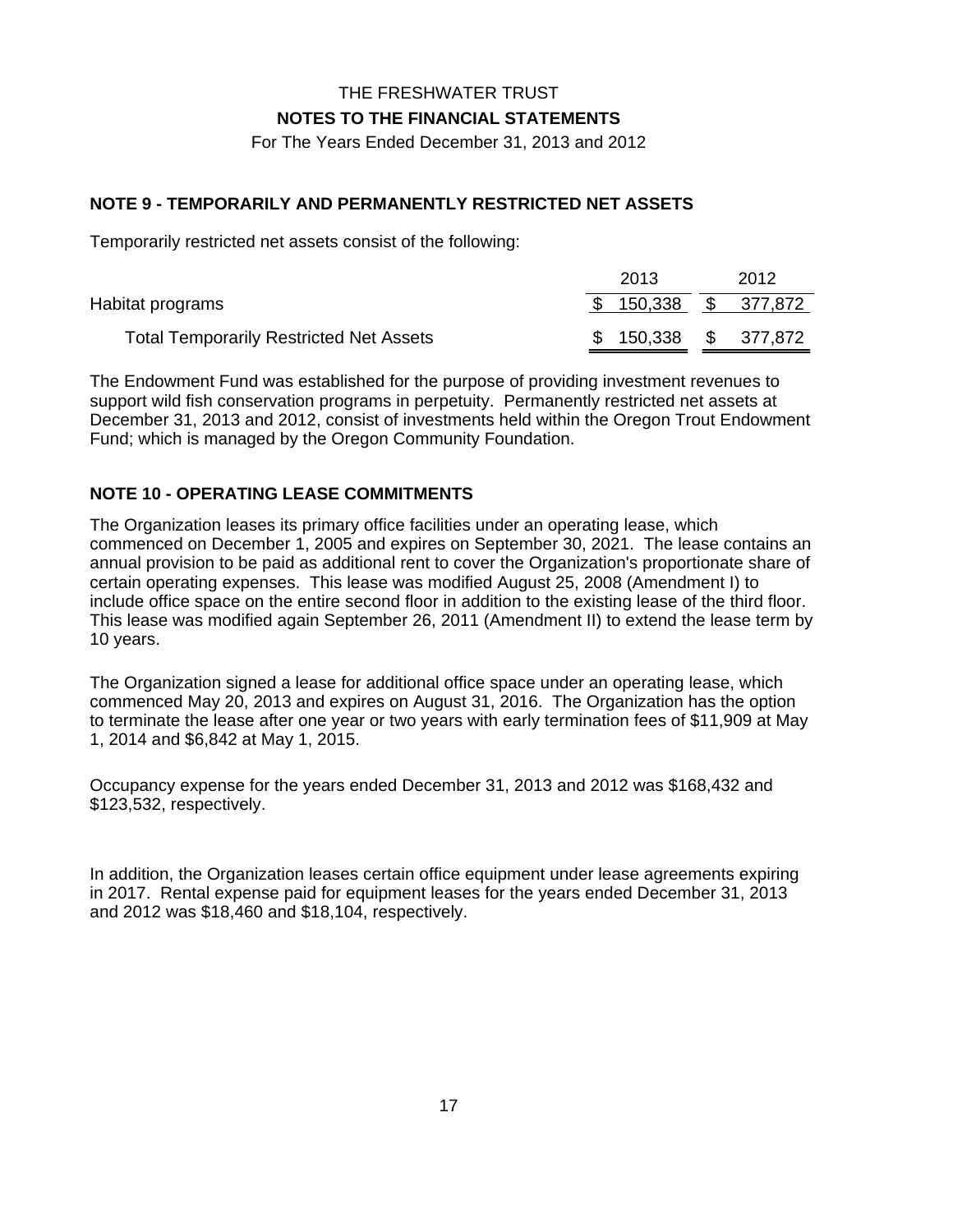For The Years Ended December 31, 2013 and 2012

#### **NOTE 9 - TEMPORARILY AND PERMANENTLY RESTRICTED NET ASSETS**

Temporarily restricted net assets consist of the following:

|                                                | 2013      | 2012                  |
|------------------------------------------------|-----------|-----------------------|
| Habitat programs                               |           | $$150,338$ $$377,872$ |
| <b>Total Temporarily Restricted Net Assets</b> | \$150,338 | \$377,872             |

The Endowment Fund was established for the purpose of providing investment revenues to support wild fish conservation programs in perpetuity. Permanently restricted net assets at December 31, 2013 and 2012, consist of investments held within the Oregon Trout Endowment Fund; which is managed by the Oregon Community Foundation.

#### **NOTE 10 - OPERATING LEASE COMMITMENTS**

The Organization leases its primary office facilities under an operating lease, which commenced on December 1, 2005 and expires on September 30, 2021. The lease contains an annual provision to be paid as additional rent to cover the Organization's proportionate share of certain operating expenses. This lease was modified August 25, 2008 (Amendment I) to include office space on the entire second floor in addition to the existing lease of the third floor. This lease was modified again September 26, 2011 (Amendment II) to extend the lease term by 10 years.

The Organization signed a lease for additional office space under an operating lease, which commenced May 20, 2013 and expires on August 31, 2016. The Organization has the option to terminate the lease after one year or two years with early termination fees of \$11,909 at May 1, 2014 and \$6,842 at May 1, 2015.

Occupancy expense for the years ended December 31, 2013 and 2012 was \$168,432 and \$123,532, respectively.

In addition, the Organization leases certain office equipment under lease agreements expiring in 2017. Rental expense paid for equipment leases for the years ended December 31, 2013 and 2012 was \$18,460 and \$18,104, respectively.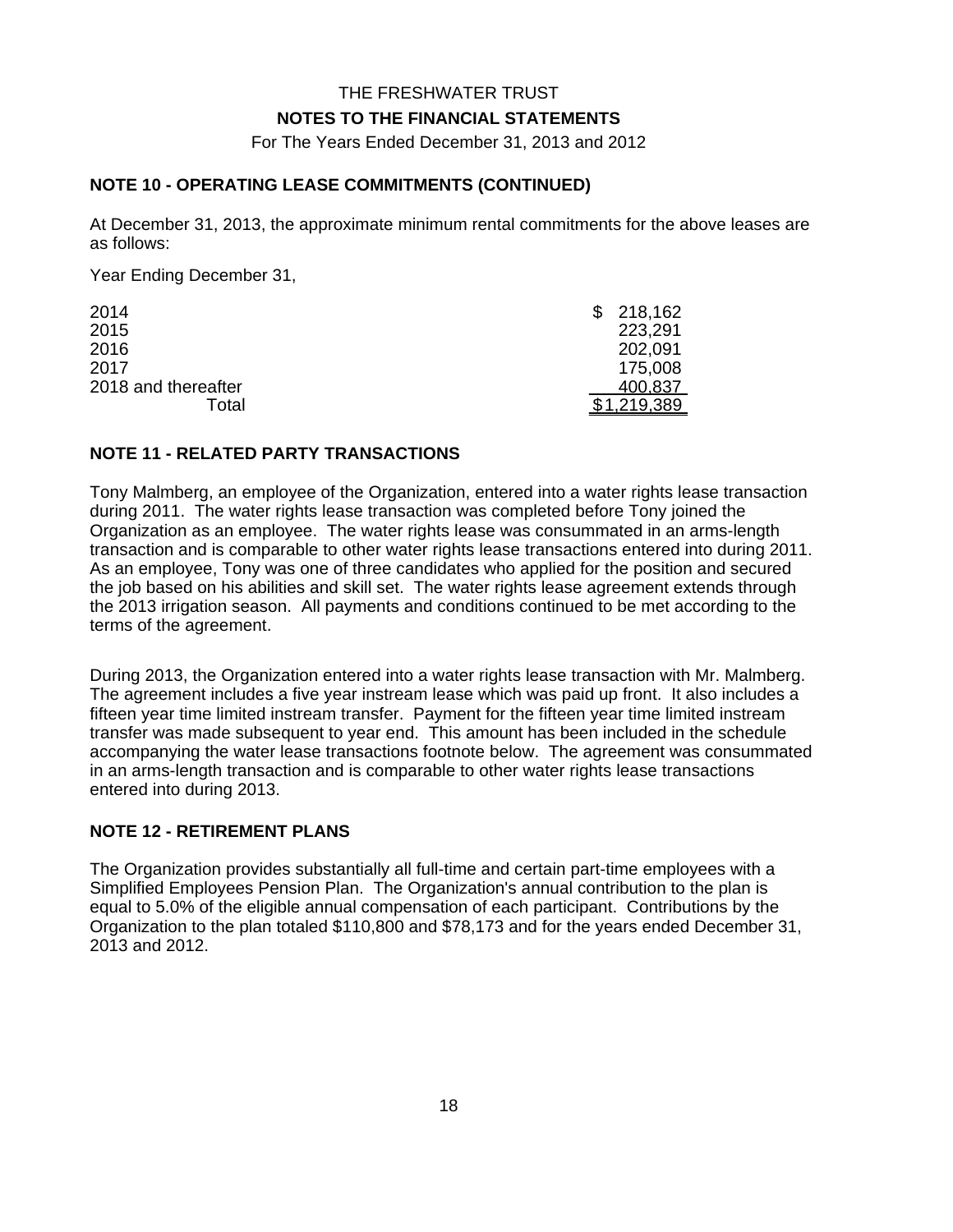For The Years Ended December 31, 2013 and 2012

#### **NOTE 10 - OPERATING LEASE COMMITMENTS (CONTINUED)**

At December 31, 2013, the approximate minimum rental commitments for the above leases are as follows:

Year Ending December 31,

| 2014                | 218,162<br>\$. |
|---------------------|----------------|
| 2015                | 223,291        |
| 2016                | 202,091        |
| 2017                | 175,008        |
| 2018 and thereafter | 400,837        |
| Total               | \$1,219,389    |

#### **NOTE 11 - RELATED PARTY TRANSACTIONS**

Tony Malmberg, an employee of the Organization, entered into a water rights lease transaction during 2011. The water rights lease transaction was completed before Tony joined the Organization as an employee. The water rights lease was consummated in an arms-length transaction and is comparable to other water rights lease transactions entered into during 2011. As an employee, Tony was one of three candidates who applied for the position and secured the job based on his abilities and skill set. The water rights lease agreement extends through the 2013 irrigation season. All payments and conditions continued to be met according to the terms of the agreement.

During 2013, the Organization entered into a water rights lease transaction with Mr. Malmberg. The agreement includes a five year instream lease which was paid up front. It also includes a fifteen year time limited instream transfer. Payment for the fifteen year time limited instream transfer was made subsequent to year end. This amount has been included in the schedule accompanying the water lease transactions footnote below. The agreement was consummated in an arms-length transaction and is comparable to other water rights lease transactions entered into during 2013.

#### **NOTE 12 - RETIREMENT PLANS**

The Organization provides substantially all full-time and certain part-time employees with a Simplified Employees Pension Plan. The Organization's annual contribution to the plan is equal to 5.0% of the eligible annual compensation of each participant. Contributions by the Organization to the plan totaled \$110,800 and \$78,173 and for the years ended December 31, 2013 and 2012.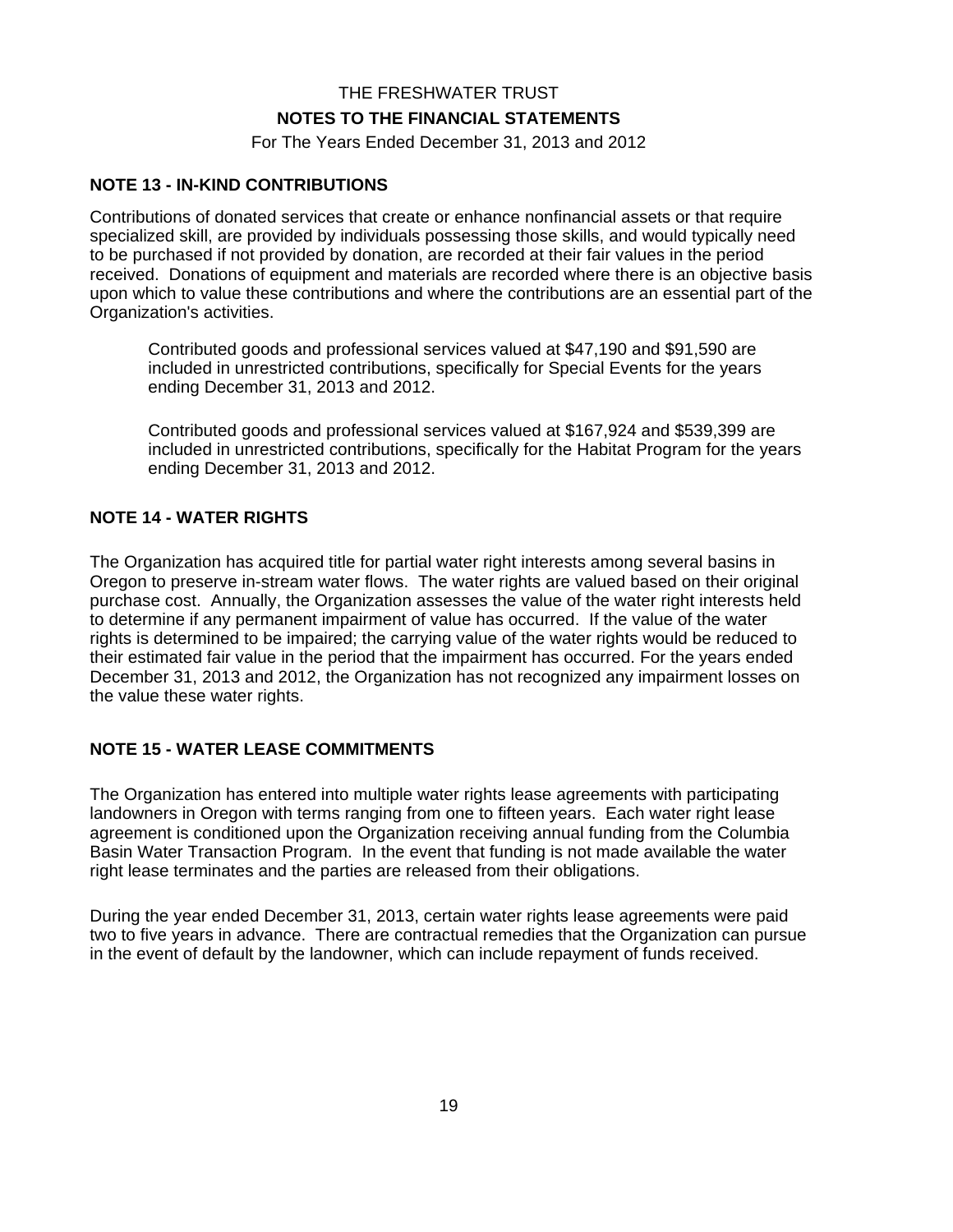For The Years Ended December 31, 2013 and 2012

#### **NOTE 13 - IN-KIND CONTRIBUTIONS**

Contributions of donated services that create or enhance nonfinancial assets or that require specialized skill, are provided by individuals possessing those skills, and would typically need to be purchased if not provided by donation, are recorded at their fair values in the period received. Donations of equipment and materials are recorded where there is an objective basis upon which to value these contributions and where the contributions are an essential part of the Organization's activities.

Contributed goods and professional services valued at \$47,190 and \$91,590 are included in unrestricted contributions, specifically for Special Events for the years ending December 31, 2013 and 2012.

Contributed goods and professional services valued at \$167,924 and \$539,399 are included in unrestricted contributions, specifically for the Habitat Program for the years ending December 31, 2013 and 2012.

#### **NOTE 14 - WATER RIGHTS**

The Organization has acquired title for partial water right interests among several basins in Oregon to preserve in-stream water flows. The water rights are valued based on their original purchase cost. Annually, the Organization assesses the value of the water right interests held to determine if any permanent impairment of value has occurred. If the value of the water rights is determined to be impaired; the carrying value of the water rights would be reduced to their estimated fair value in the period that the impairment has occurred. For the years ended December 31, 2013 and 2012, the Organization has not recognized any impairment losses on the value these water rights.

#### **NOTE 15 - WATER LEASE COMMITMENTS**

The Organization has entered into multiple water rights lease agreements with participating landowners in Oregon with terms ranging from one to fifteen years. Each water right lease agreement is conditioned upon the Organization receiving annual funding from the Columbia Basin Water Transaction Program. In the event that funding is not made available the water right lease terminates and the parties are released from their obligations.

During the year ended December 31, 2013, certain water rights lease agreements were paid two to five years in advance. There are contractual remedies that the Organization can pursue in the event of default by the landowner, which can include repayment of funds received.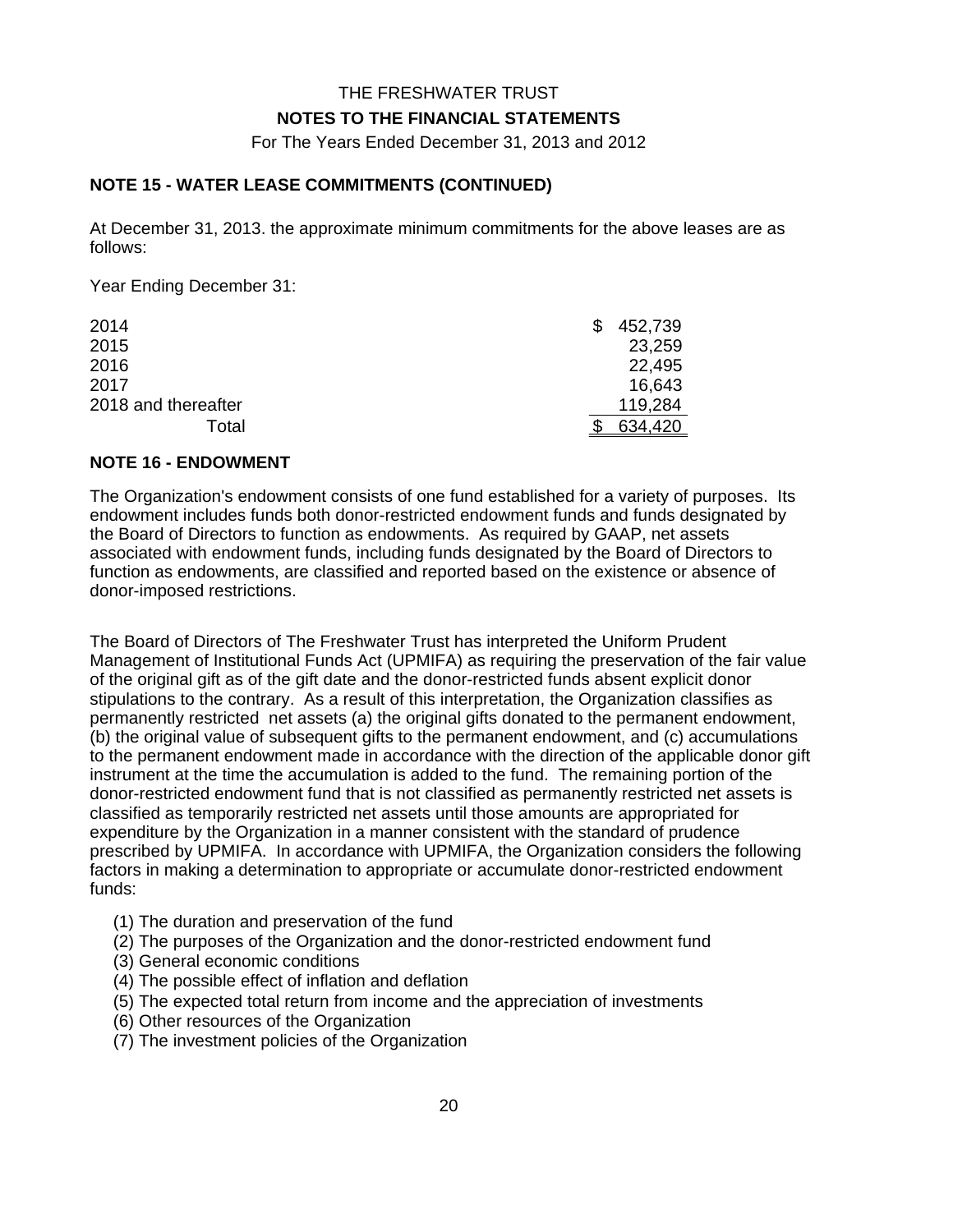For The Years Ended December 31, 2013 and 2012

### **NOTE 15 - WATER LEASE COMMITMENTS (CONTINUED)**

At December 31, 2013. the approximate minimum commitments for the above leases are as follows:

Year Ending December 31:

| 2014                | 452,739 |
|---------------------|---------|
| 2015                | 23,259  |
| 2016                | 22,495  |
| 2017                | 16,643  |
| 2018 and thereafter | 119,284 |
| Total               | 634,420 |

#### **NOTE 16 - ENDOWMENT**

The Organization's endowment consists of one fund established for a variety of purposes. Its endowment includes funds both donor-restricted endowment funds and funds designated by the Board of Directors to function as endowments. As required by GAAP, net assets associated with endowment funds, including funds designated by the Board of Directors to function as endowments, are classified and reported based on the existence or absence of donor-imposed restrictions.

The Board of Directors of The Freshwater Trust has interpreted the Uniform Prudent Management of Institutional Funds Act (UPMIFA) as requiring the preservation of the fair value of the original gift as of the gift date and the donor-restricted funds absent explicit donor stipulations to the contrary. As a result of this interpretation, the Organization classifies as permanently restricted net assets (a) the original gifts donated to the permanent endowment, (b) the original value of subsequent gifts to the permanent endowment, and (c) accumulations to the permanent endowment made in accordance with the direction of the applicable donor gift instrument at the time the accumulation is added to the fund. The remaining portion of the donor-restricted endowment fund that is not classified as permanently restricted net assets is classified as temporarily restricted net assets until those amounts are appropriated for expenditure by the Organization in a manner consistent with the standard of prudence prescribed by UPMIFA. In accordance with UPMIFA, the Organization considers the following factors in making a determination to appropriate or accumulate donor-restricted endowment funds:

- (1) The duration and preservation of the fund
- (2) The purposes of the Organization and the donor-restricted endowment fund
- (3) General economic conditions
- (4) The possible effect of inflation and deflation
- (5) The expected total return from income and the appreciation of investments
- (6) Other resources of the Organization
- (7) The investment policies of the Organization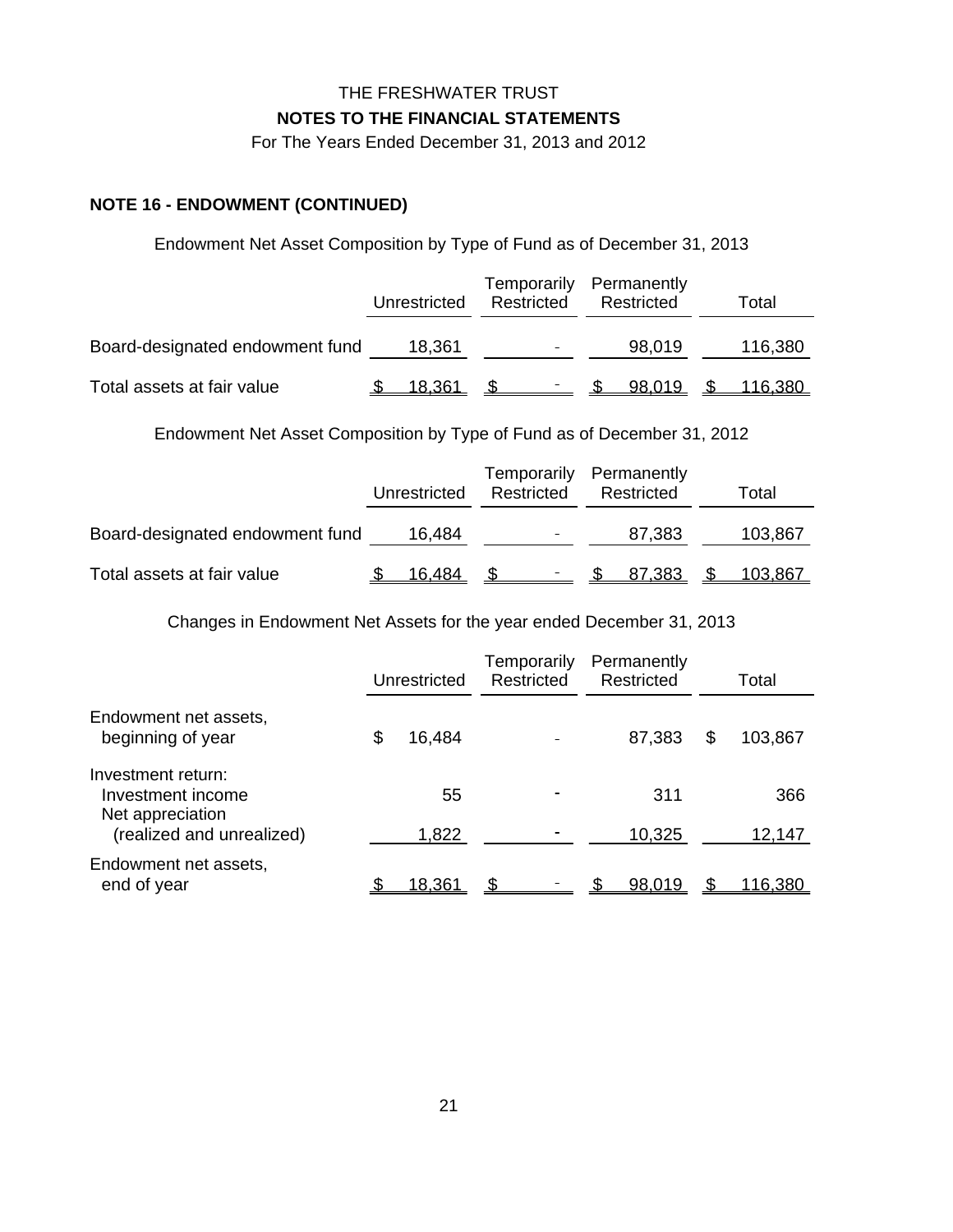For The Years Ended December 31, 2013 and 2012

### **NOTE 16 - ENDOWMENT (CONTINUED)**

Endowment Net Asset Composition by Type of Fund as of December 31, 2013

|                                 | Unrestricted | Restricted |                          | Temporarily Permanently<br>Restricted | Total   |
|---------------------------------|--------------|------------|--------------------------|---------------------------------------|---------|
| Board-designated endowment fund | 18,361       |            | $\overline{\phantom{a}}$ | 98,019                                | 116,380 |
| Total assets at fair value      | 18.361       |            | $\blacksquare$           | 98.019                                | 116.380 |

Endowment Net Asset Composition by Type of Fund as of December 31, 2012

|                                 | Unrestricted | Restricted |                          | Temporarily Permanently<br>Restricted | Total   |
|---------------------------------|--------------|------------|--------------------------|---------------------------------------|---------|
| Board-designated endowment fund | 16,484       |            | $\overline{\phantom{a}}$ | 87,383                                | 103,867 |
| Total assets at fair value      | 16 484       |            |                          | 87.383                                | 103.867 |

Changes in Endowment Net Assets for the year ended December 31, 2013

|                                                             | Unrestricted | Temporarily<br>Restricted | Permanently<br>Restricted | Total          |
|-------------------------------------------------------------|--------------|---------------------------|---------------------------|----------------|
| Endowment net assets,<br>beginning of year                  | \$<br>16,484 |                           | 87,383                    | \$<br>103,867  |
| Investment return:<br>Investment income<br>Net appreciation | 55           |                           | 311                       | 366            |
| (realized and unrealized)                                   | 1,822        |                           | 10,325                    | 12,147         |
| Endowment net assets,<br>end of year                        | 18.361       |                           | <u>98.019</u>             | <u> 16.380</u> |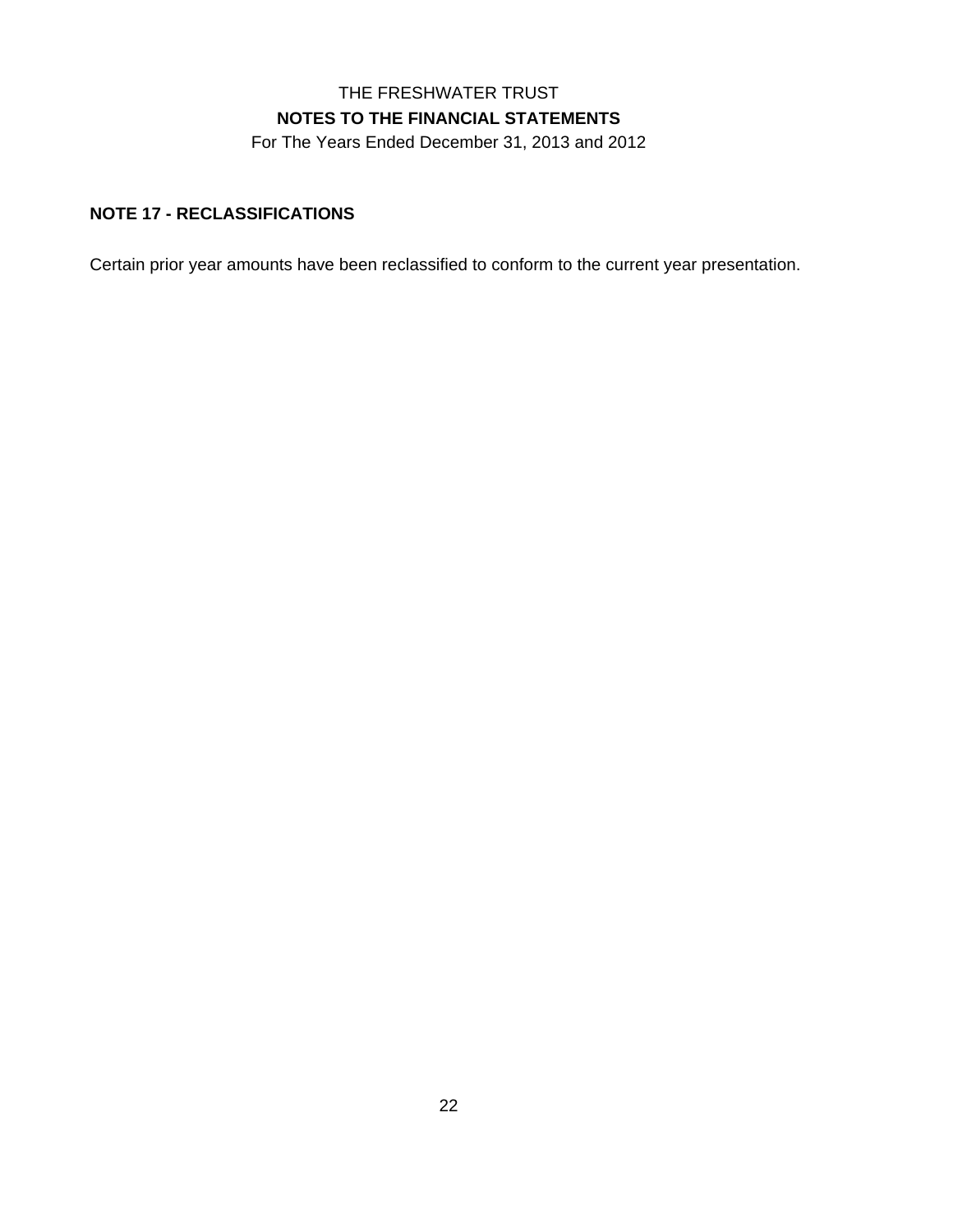For The Years Ended December 31, 2013 and 2012

## **NOTE 17 - RECLASSIFICATIONS**

Certain prior year amounts have been reclassified to conform to the current year presentation.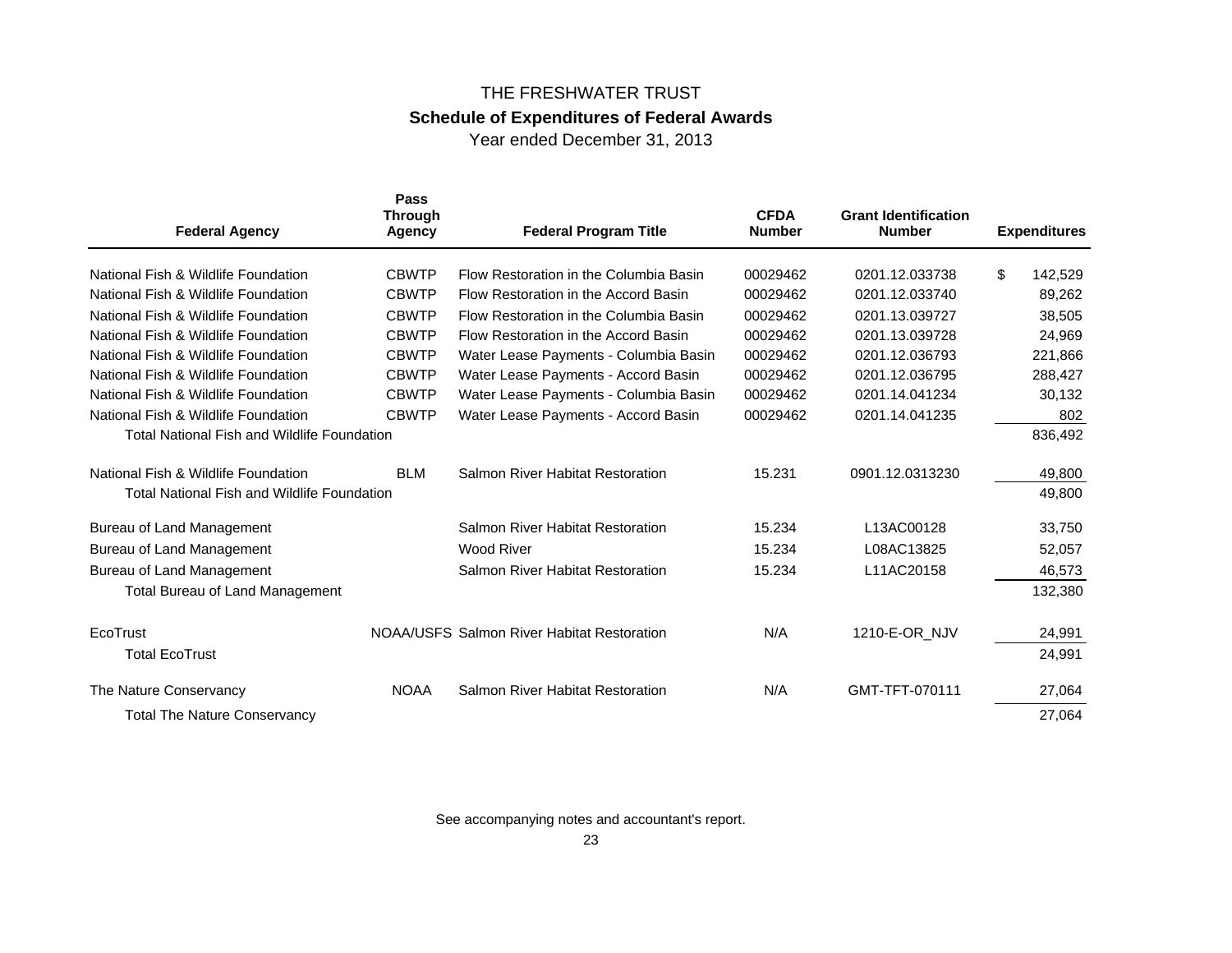### THE FRESHWATER TRUST**Schedule of Expenditures of Federal Awards** Year ended December 31, 2013

**Federal Agency Pass Through Agency Federal Program Title CFDA NumberGrant Identification Number Expenditures** National Fish & Wildlife Foundation CBWTP Flow Restoration in the Columbia Basin 00029462 0201.12.033738 \$ 142,529 National Fish & Wildlife Foundation CBWTP Flow Restoration in the Accord Basin 00029462 0201.12.033740 89.262 National Fish & Wildlife Foundation CBWTP Flow Restoration in the Columbia Basin 00029462 0201.13.039727 38,505 National Fish & Wildlife Foundation CBWTP Flow Restoration in the Accord Basin 00029462 0201.13.039728 24,969 National Fish & Wildlife Foundation CBWTP Water Lease Payments - Columbia Basin 00029462 0201.12.036793 221,866 National Fish & Wildlife Foundation CBWTP Water Lease Payments - Accord Basin 00029462 0201.12.036795 288,427 National Fish & Wildlife Foundation CBWTP Water Lease Payments - Columbia Basin 00029462 0201.14.041234 30,132 National Fish & Wildlife Foundation CBWTP Water Lease Payments - Accord Basin 00029462 0201.14.041235 802 Total National Fish and Wildlife Foundation 836,492 National Fish & Wildlife Foundation **BLM** Salmon River Habitat Restoration 15.231 0901.12.0313230 49,800 Total National Fish and Wildlife Foundationn and the contract of the contract of the contract of the contract of the contract of the contract of the contract of the contract of the contract of the contract of the contract of the contract of the contract of the con Bureau of Land Management **Salmon River Habitat Restoration** 15.234 L13AC00128 33,750 Bureau of Land Management 15.234 L08AC13825 52,057 Bureau of Land Management **Salmon River Habitat Restoration** 15.234 L11AC20158 46,573 Total Bureau of Land Management 132,380 EcoTrust **Non-Allian Strutter Accommendation** N/A 1210-E-OR\_NJV 24,991 Total EcoTrust 24,991 The Nature Conservancy **NOAA** Salmon River Habitat Restoration N/A GMT-TFT-070111 27,064 Total The Nature Conservancy 27,064

See accompanying notes and accountant's report.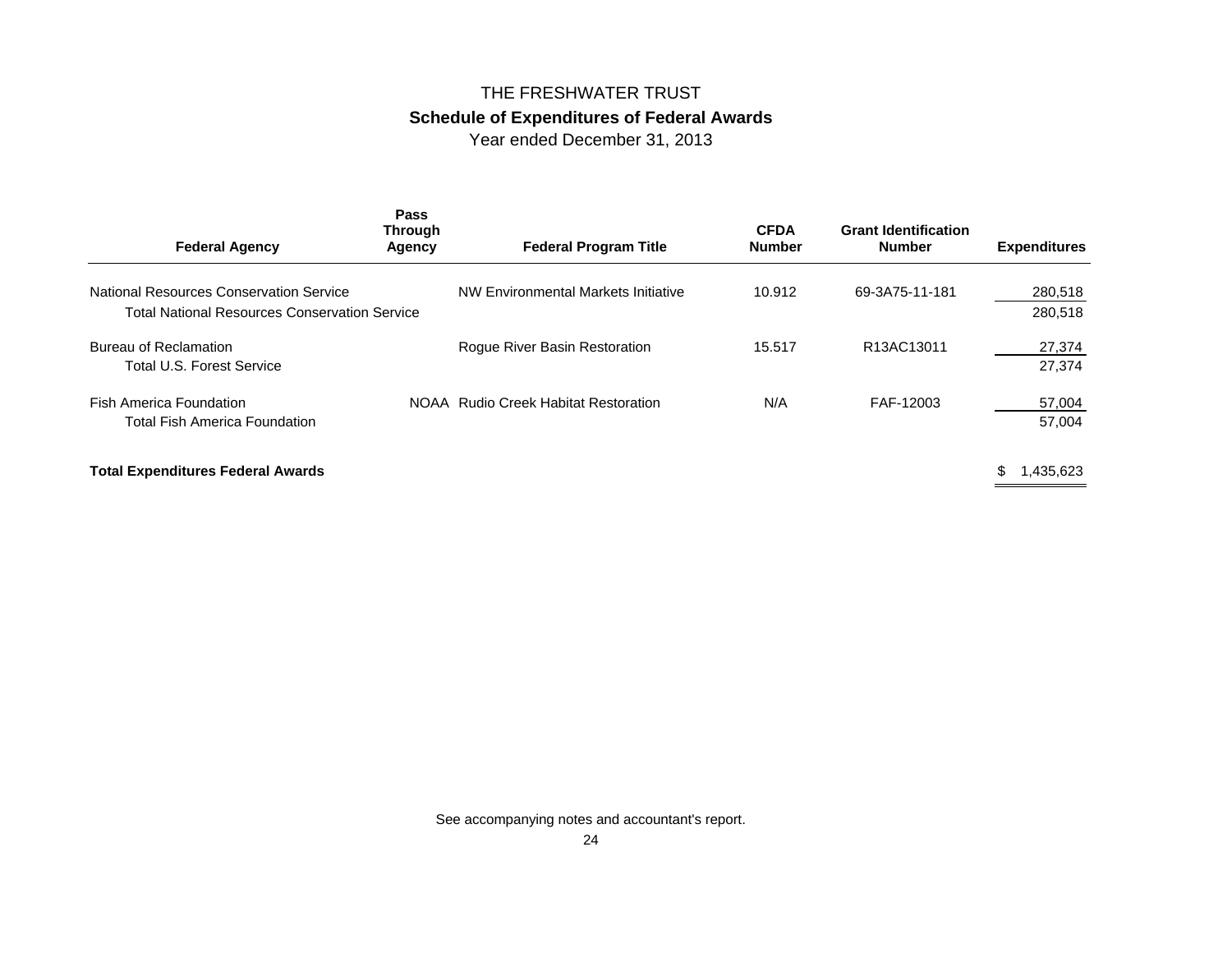## THE FRESHWATER TRUST**Schedule of Expenditures of Federal Awards** Year ended December 31, 2013

| <b>Federal Agency</b>                                                                           | Pass<br><b>Through</b><br>Agency | <b>Federal Program Title</b>         | <b>CFDA</b><br><b>Number</b> | <b>Grant Identification</b><br><b>Number</b> | <b>Expenditures</b> |
|-------------------------------------------------------------------------------------------------|----------------------------------|--------------------------------------|------------------------------|----------------------------------------------|---------------------|
| National Resources Conservation Service<br><b>Total National Resources Conservation Service</b> |                                  | NW Environmental Markets Initiative  | 10.912                       | 69-3A75-11-181                               | 280,518<br>280,518  |
| Bureau of Reclamation<br>Total U.S. Forest Service                                              |                                  | Rogue River Basin Restoration        | 15.517                       | R13AC13011                                   | 27,374<br>27,374    |
| <b>Fish America Foundation</b><br><b>Total Fish America Foundation</b>                          |                                  | NOAA Rudio Creek Habitat Restoration | N/A                          | FAF-12003                                    | 57,004<br>57,004    |
| <b>Total Expenditures Federal Awards</b>                                                        |                                  |                                      |                              |                                              | 1,435,623           |

See accompanying notes and accountant's report.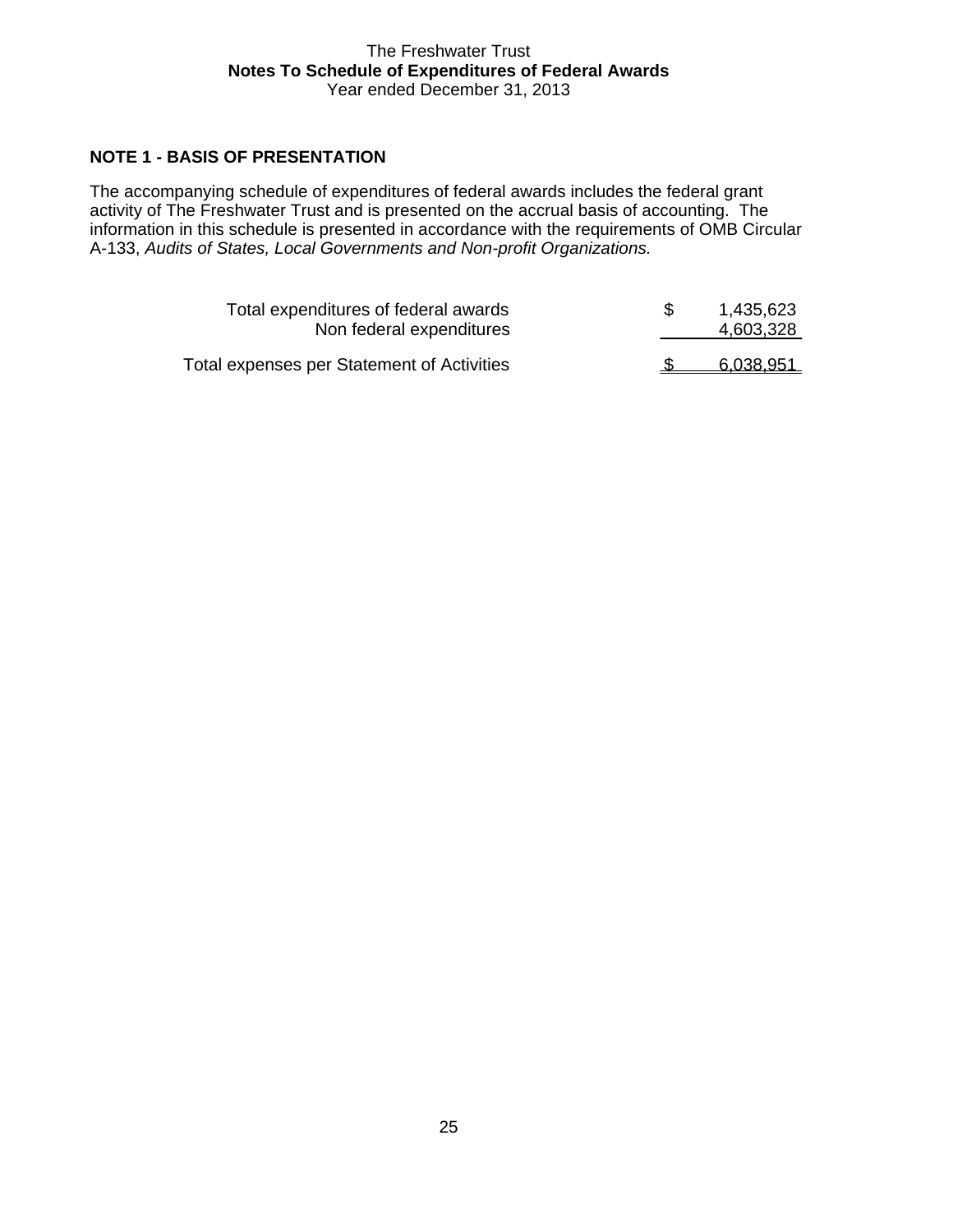### **NOTE 1 - BASIS OF PRESENTATION**

The accompanying schedule of expenditures of federal awards includes the federal grant activity of The Freshwater Trust and is presented on the accrual basis of accounting. The information in this schedule is presented in accordance with the requirements of OMB Circular A-133, *Audits of States, Local Governments and Non-profit Organizations.*

| Total expenditures of federal awards<br>Non federal expenditures | 1,435,623<br>4,603,328 |
|------------------------------------------------------------------|------------------------|
| Total expenses per Statement of Activities                       | 6.038.951              |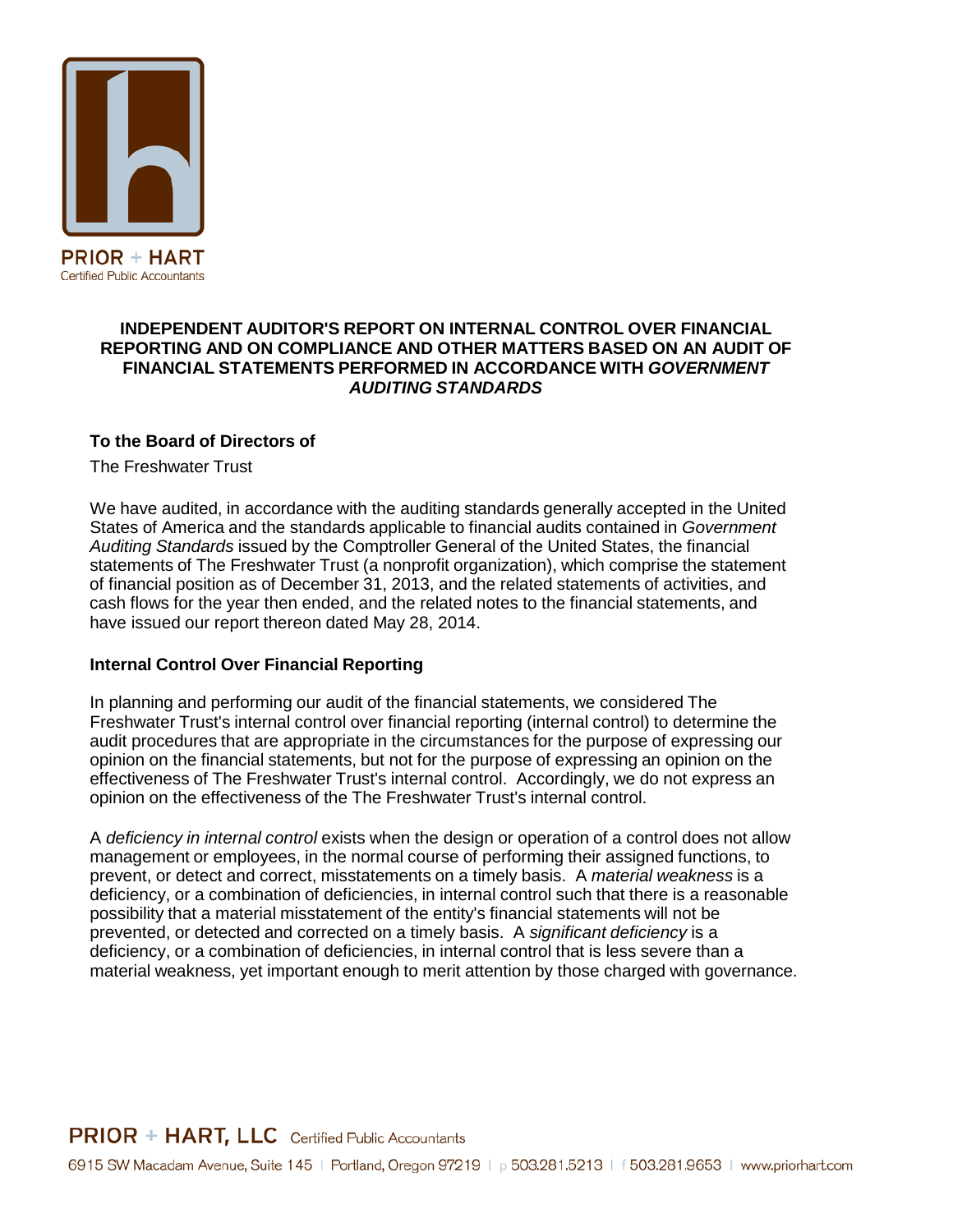

#### **INDEPENDENT AUDITOR'S REPORT ON INTERNAL CONTROL OVER FINANCIAL REPORTING AND ON COMPLIANCE AND OTHER MATTERS BASED ON AN AUDIT OF FINANCIAL STATEMENTS PERFORMED IN ACCORDANCE WITH** *GOVERNMENT AUDITING STANDARDS*

#### **To the Board of Directors of**

The Freshwater Trust

We have audited, in accordance with the auditing standards generally accepted in the United States of America and the standards applicable to financial audits contained in *Government Auditing Standards* issued by the Comptroller General of the United States, the financial statements of The Freshwater Trust (a nonprofit organization), which comprise the statement of financial position as of December 31, 2013, and the related statements of activities, and cash flows for the year then ended, and the related notes to the financial statements, and have issued our report thereon dated May 28, 2014.

#### **Internal Control Over Financial Reporting**

In planning and performing our audit of the financial statements, we considered The Freshwater Trust's internal control over financial reporting (internal control) to determine the audit procedures that are appropriate in the circumstances for the purpose of expressing our opinion on the financial statements, but not for the purpose of expressing an opinion on the effectiveness of The Freshwater Trust's internal control. Accordingly, we do not express an opinion on the effectiveness of the The Freshwater Trust's internal control.

A *deficiency in internal control* exists when the design or operation of a control does not allow management or employees, in the normal course of performing their assigned functions, to prevent, or detect and correct, misstatements on a timely basis. A *material weakness* is a deficiency, or a combination of deficiencies, in internal control such that there is a reasonable possibility that a material misstatement of the entity's financial statements will not be prevented, or detected and corrected on a timely basis. A *significant deficiency* is a deficiency, or a combination of deficiencies, in internal control that is less severe than a material weakness, yet important enough to merit attention by those charged with governance.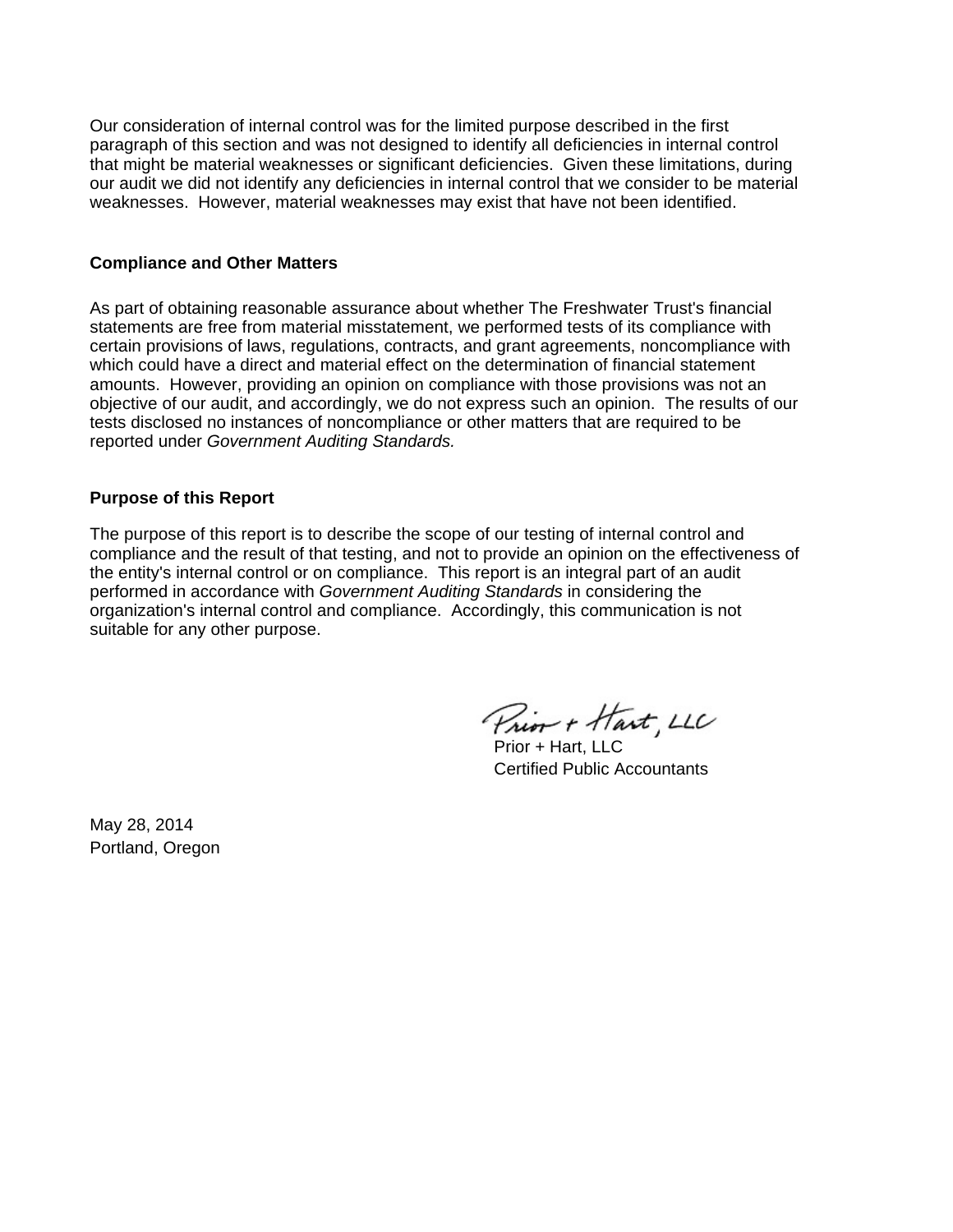Our consideration of internal control was for the limited purpose described in the first paragraph of this section and was not designed to identify all deficiencies in internal control that might be material weaknesses or significant deficiencies. Given these limitations, during our audit we did not identify any deficiencies in internal control that we consider to be material weaknesses. However, material weaknesses may exist that have not been identified.

#### **Compliance and Other Matters**

As part of obtaining reasonable assurance about whether The Freshwater Trust's financial statements are free from material misstatement, we performed tests of its compliance with certain provisions of laws, regulations, contracts, and grant agreements, noncompliance with which could have a direct and material effect on the determination of financial statement amounts. However, providing an opinion on compliance with those provisions was not an objective of our audit, and accordingly, we do not express such an opinion. The results of our tests disclosed no instances of noncompliance or other matters that are required to be reported under *Government Auditing Standards.*

#### **Purpose of this Report**

The purpose of this report is to describe the scope of our testing of internal control and compliance and the result of that testing, and not to provide an opinion on the effectiveness of the entity's internal control or on compliance. This report is an integral part of an audit performed in accordance with *Government Auditing Standards* in considering the organization's internal control and compliance. Accordingly, this communication is not suitable for any other purpose.

Prior + Hart, LLC

 Prior + Hart, LLC Certified Public Accountants

May 28, 2014 Portland, Oregon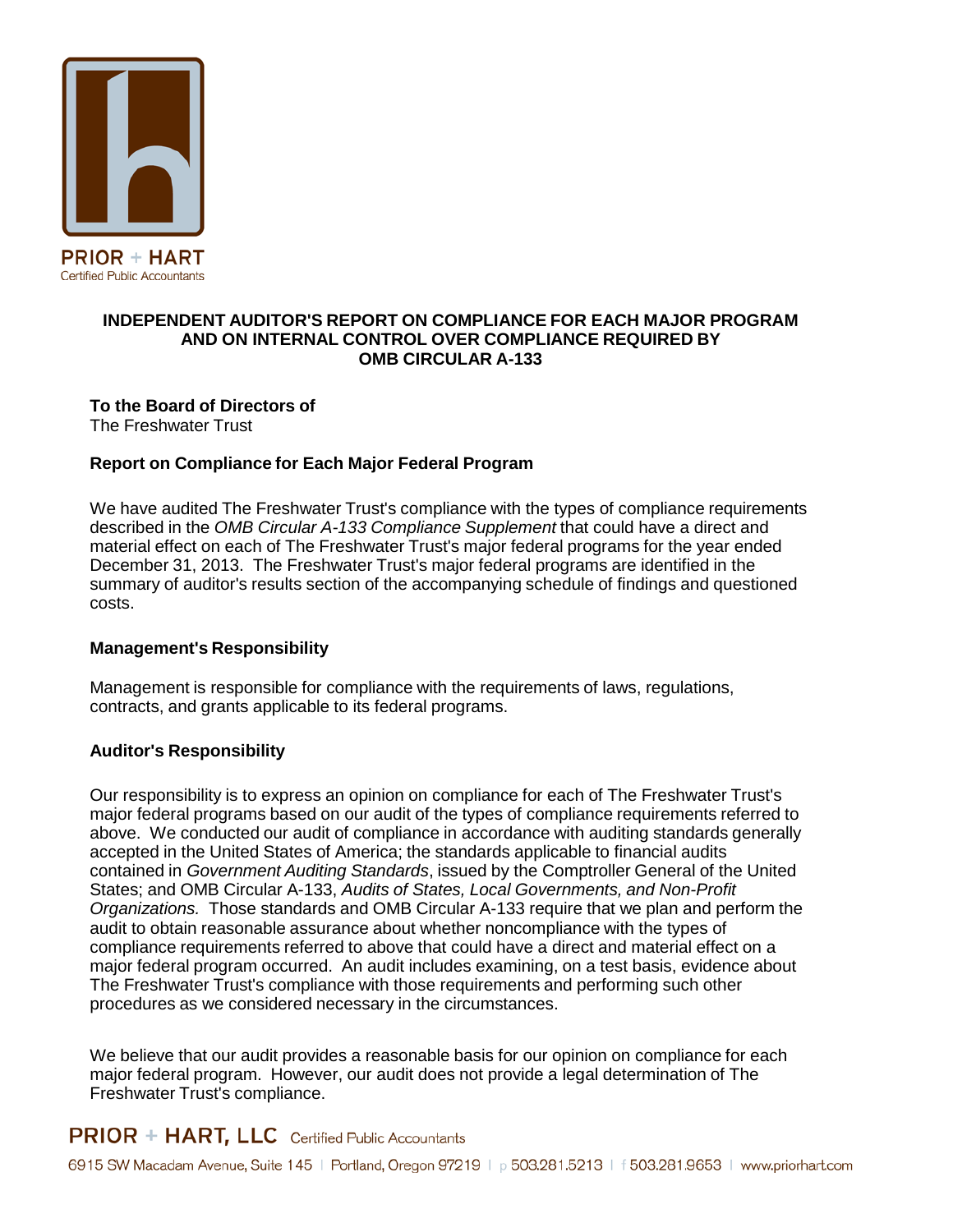

#### **INDEPENDENT AUDITOR'S REPORT ON COMPLIANCE FOR EACH MAJOR PROGRAM AND ON INTERNAL CONTROL OVER COMPLIANCE REQUIRED BY OMB CIRCULAR A-133**

# **To the Board of Directors of**

The Freshwater Trust

#### **Report on Compliance for Each Major Federal Program**

We have audited The Freshwater Trust's compliance with the types of compliance requirements described in the *OMB Circular A-133 Compliance Supplement* that could have a direct and material effect on each of The Freshwater Trust's major federal programs for the year ended December 31, 2013. The Freshwater Trust's major federal programs are identified in the summary of auditor's results section of the accompanying schedule of findings and questioned costs.

#### **Management's Responsibility**

Management is responsible for compliance with the requirements of laws, regulations, contracts, and grants applicable to its federal programs.

#### **Auditor's Responsibility**

Our responsibility is to express an opinion on compliance for each of The Freshwater Trust's major federal programs based on our audit of the types of compliance requirements referred to above. We conducted our audit of compliance in accordance with auditing standards generally accepted in the United States of America; the standards applicable to financial audits contained in *Government Auditing Standards*, issued by the Comptroller General of the United States; and OMB Circular A-133, *Audits of States, Local Governments, and Non-Profit Organizations.* Those standards and OMB Circular A-133 require that we plan and perform the audit to obtain reasonable assurance about whether noncompliance with the types of compliance requirements referred to above that could have a direct and material effect on a major federal program occurred. An audit includes examining, on a test basis, evidence about The Freshwater Trust's compliance with those requirements and performing such other procedures as we considered necessary in the circumstances.

We believe that our audit provides a reasonable basis for our opinion on compliance for each major federal program. However, our audit does not provide a legal determination of The Freshwater Trust's compliance.

## PRIOR + HART, LLC Certified Public Accountants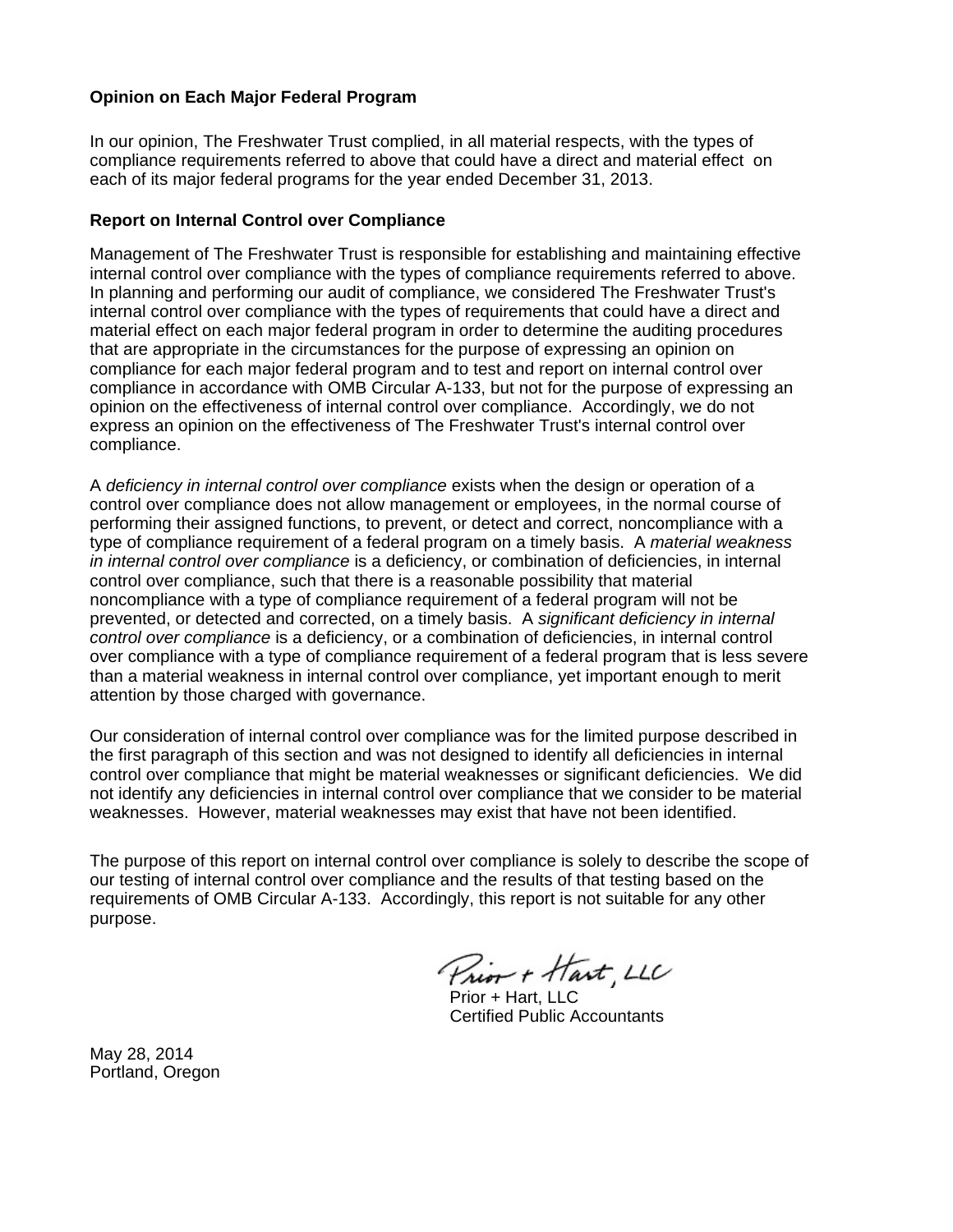#### **Opinion on Each Major Federal Program**

In our opinion, The Freshwater Trust complied, in all material respects, with the types of compliance requirements referred to above that could have a direct and material effect on each of its major federal programs for the year ended December 31, 2013.

#### **Report on Internal Control over Compliance**

Management of The Freshwater Trust is responsible for establishing and maintaining effective internal control over compliance with the types of compliance requirements referred to above. In planning and performing our audit of compliance, we considered The Freshwater Trust's internal control over compliance with the types of requirements that could have a direct and material effect on each major federal program in order to determine the auditing procedures that are appropriate in the circumstances for the purpose of expressing an opinion on compliance for each major federal program and to test and report on internal control over compliance in accordance with OMB Circular A-133, but not for the purpose of expressing an opinion on the effectiveness of internal control over compliance. Accordingly, we do not express an opinion on the effectiveness of The Freshwater Trust's internal control over compliance.

A *deficiency in internal control over compliance* exists when the design or operation of a control over compliance does not allow management or employees, in the normal course of performing their assigned functions, to prevent, or detect and correct, noncompliance with a type of compliance requirement of a federal program on a timely basis. A *material weakness in internal control over compliance* is a deficiency, or combination of deficiencies, in internal control over compliance, such that there is a reasonable possibility that material noncompliance with a type of compliance requirement of a federal program will not be prevented, or detected and corrected, on a timely basis. A *significant deficiency in internal control over compliance* is a deficiency, or a combination of deficiencies, in internal control over compliance with a type of compliance requirement of a federal program that is less severe than a material weakness in internal control over compliance, yet important enough to merit attention by those charged with governance.

Our consideration of internal control over compliance was for the limited purpose described in the first paragraph of this section and was not designed to identify all deficiencies in internal control over compliance that might be material weaknesses or significant deficiencies. We did not identify any deficiencies in internal control over compliance that we consider to be material weaknesses. However, material weaknesses may exist that have not been identified.

The purpose of this report on internal control over compliance is solely to describe the scope of our testing of internal control over compliance and the results of that testing based on the requirements of OMB Circular A-133. Accordingly, this report is not suitable for any other purpose.

Prior + Hart, LLC

 Prior + Hart, LLC Certified Public Accountants

May 28, 2014 Portland, Oregon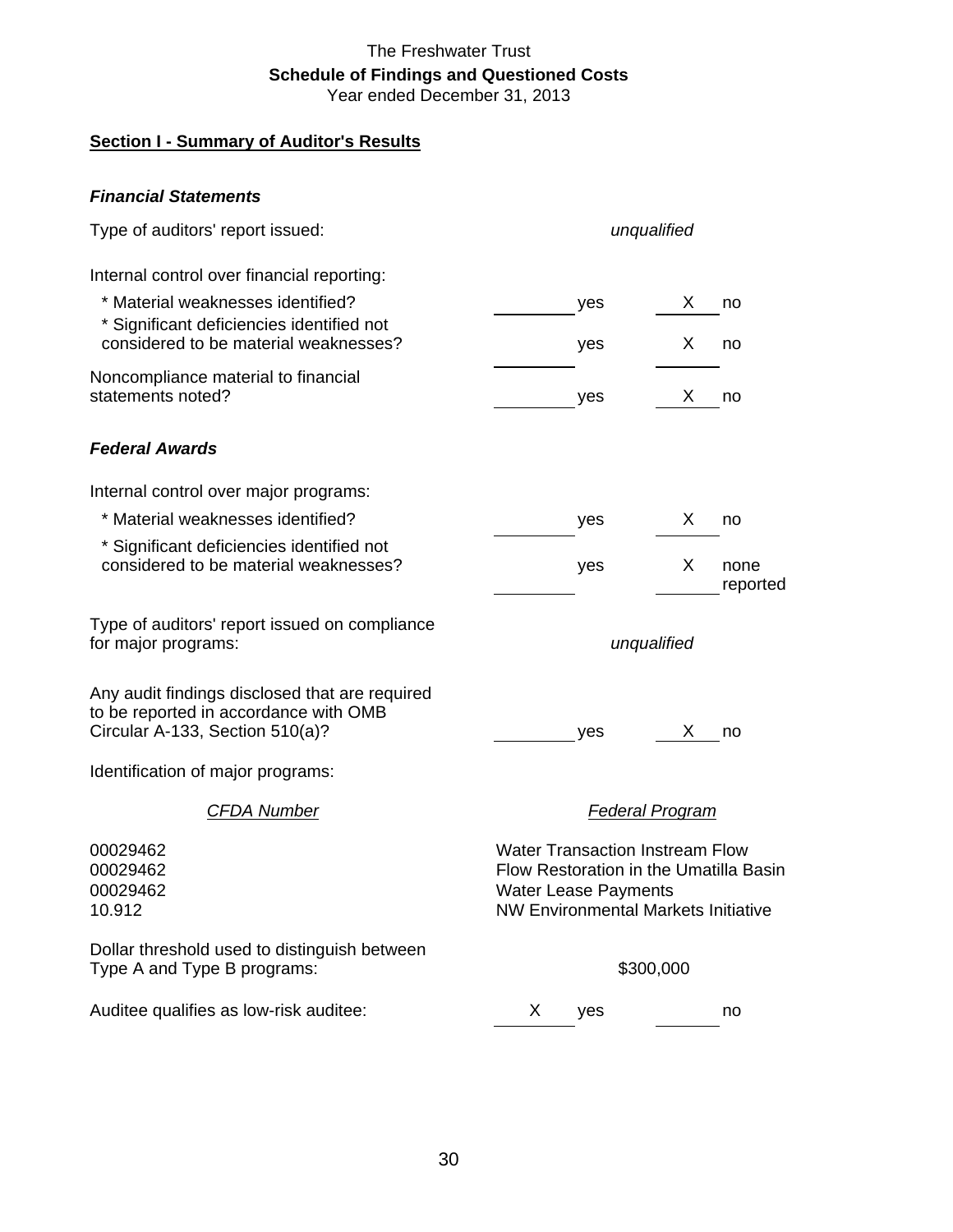# The Freshwater Trust **Schedule of Findings and Questioned Costs**

Year ended December 31, 2013

## **Section I - Summary of Auditor's Results**

#### *Financial Statements*

| Type of auditors' report issued:                                                                                                                                    | unqualified                                                                                                                                                   |                        |  |  |
|---------------------------------------------------------------------------------------------------------------------------------------------------------------------|---------------------------------------------------------------------------------------------------------------------------------------------------------------|------------------------|--|--|
| Internal control over financial reporting:<br>* Material weaknesses identified?<br>Significant deficiencies identified not<br>considered to be material weaknesses? | yes                                                                                                                                                           | X<br>no                |  |  |
| Noncompliance material to financial<br>statements noted?                                                                                                            | yes<br>yes                                                                                                                                                    | X<br>no<br>X<br>no     |  |  |
| <b>Federal Awards</b>                                                                                                                                               |                                                                                                                                                               |                        |  |  |
| Internal control over major programs:                                                                                                                               |                                                                                                                                                               |                        |  |  |
| * Material weaknesses identified?                                                                                                                                   | yes                                                                                                                                                           | X<br>no                |  |  |
| * Significant deficiencies identified not<br>considered to be material weaknesses?                                                                                  | yes                                                                                                                                                           | X<br>none<br>reported  |  |  |
| Type of auditors' report issued on compliance<br>for major programs:                                                                                                | unqualified                                                                                                                                                   |                        |  |  |
| Any audit findings disclosed that are required<br>to be reported in accordance with OMB<br>Circular A-133, Section 510(a)?                                          | yes                                                                                                                                                           | X<br>no                |  |  |
| Identification of major programs:                                                                                                                                   |                                                                                                                                                               |                        |  |  |
| <u>CFDA Number</u>                                                                                                                                                  |                                                                                                                                                               | <b>Federal Program</b> |  |  |
| 00029462<br>00029462<br>00029462<br>10.912                                                                                                                          | <b>Water Transaction Instream Flow</b><br>Flow Restoration in the Umatilla Basin<br><b>Water Lease Payments</b><br><b>NW Environmental Markets Initiative</b> |                        |  |  |
| Dollar threshold used to distinguish between<br>Type A and Type B programs:                                                                                         | \$300,000                                                                                                                                                     |                        |  |  |
| Auditee qualifies as low-risk auditee:                                                                                                                              | X<br>yes                                                                                                                                                      | no                     |  |  |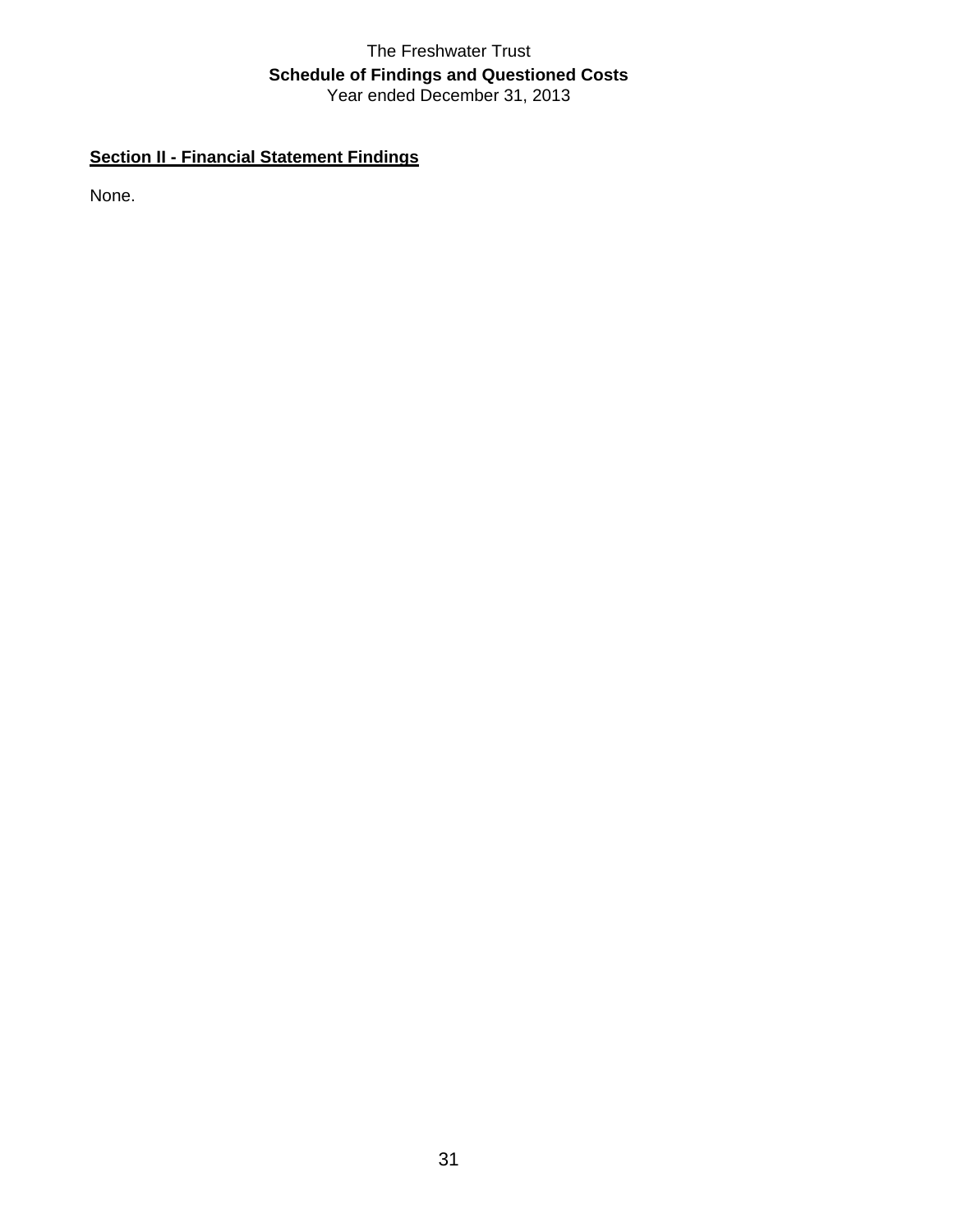### The Freshwater Trust **Schedule of Findings and Questioned Costs** Year ended December 31, 2013

## **Section II - Financial Statement Findings**

None.